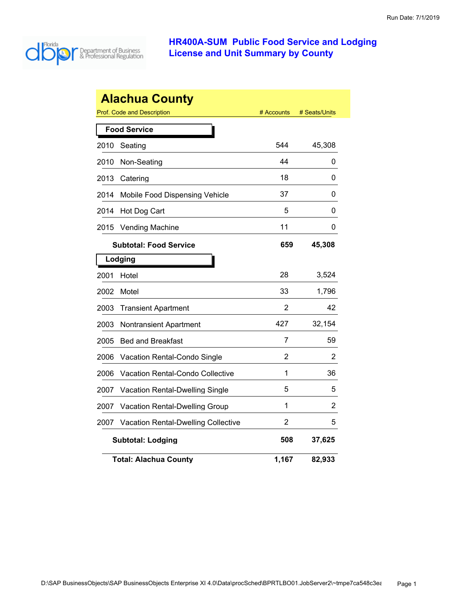

|      | <b>Alachua County</b>               |            |               |
|------|-------------------------------------|------------|---------------|
|      | <b>Prof. Code and Description</b>   | # Accounts | # Seats/Units |
|      | <b>Food Service</b>                 |            |               |
| 2010 | Seating                             | 544        | 45,308        |
| 2010 | Non-Seating                         | 44         | 0             |
| 2013 | Catering                            | 18         | 0             |
| 2014 | Mobile Food Dispensing Vehicle      | 37         | 0             |
| 2014 | Hot Dog Cart                        | 5          | 0             |
| 2015 | <b>Vending Machine</b>              | 11         | 0             |
|      | <b>Subtotal: Food Service</b>       | 659        | 45,308        |
|      | Lodging                             |            |               |
| 2001 | Hotel                               | 28         | 3,524         |
| 2002 | Motel                               | 33         | 1,796         |
| 2003 | <b>Transient Apartment</b>          | 2          | 42            |
| 2003 | <b>Nontransient Apartment</b>       | 427        | 32,154        |
| 2005 | <b>Bed and Breakfast</b>            | 7          | 59            |
| 2006 | Vacation Rental-Condo Single        | 2          | 2             |
| 2006 | Vacation Rental-Condo Collective    | 1          | 36            |
| 2007 | Vacation Rental-Dwelling Single     | 5          | 5             |
| 2007 | Vacation Rental-Dwelling Group      | 1          | 2             |
| 2007 | Vacation Rental-Dwelling Collective | 2          | 5             |
|      | <b>Subtotal: Lodging</b>            | 508        | 37,625        |
|      | <b>Total: Alachua County</b>        | 1,167      | 82,933        |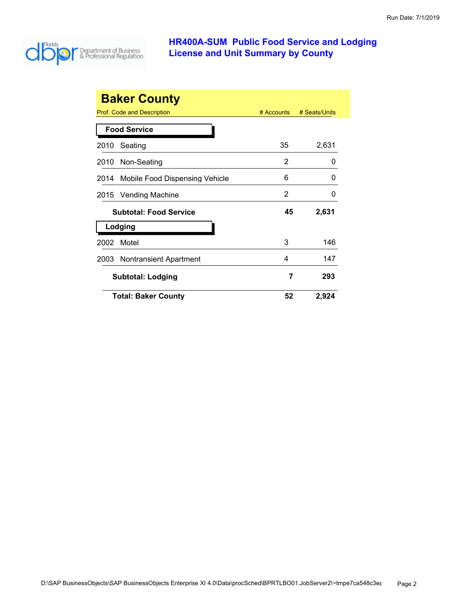

|                     | <b>Baker County</b>            |            |               |  |
|---------------------|--------------------------------|------------|---------------|--|
|                     | Prof. Code and Description     | # Accounts | # Seats/Units |  |
| <b>Food Service</b> |                                |            |               |  |
| 2010                | Seating                        | 35         | 2,631         |  |
| 2010                | Non-Seating                    | 2          | O             |  |
| 2014                | Mobile Food Dispensing Vehicle | 6          | O             |  |
|                     | 2015 Vending Machine           | 2          | O             |  |
|                     | <b>Subtotal: Food Service</b>  | 45         | 2,631         |  |
|                     | Lodging                        |            |               |  |
| 2002                | Motel                          | 3          | 146           |  |
| 2003                | Nontransient Apartment         | 4          | 147           |  |
|                     | <b>Subtotal: Lodging</b>       | 7          | 293           |  |
|                     | <b>Total: Baker County</b>     | 52         | 2,924         |  |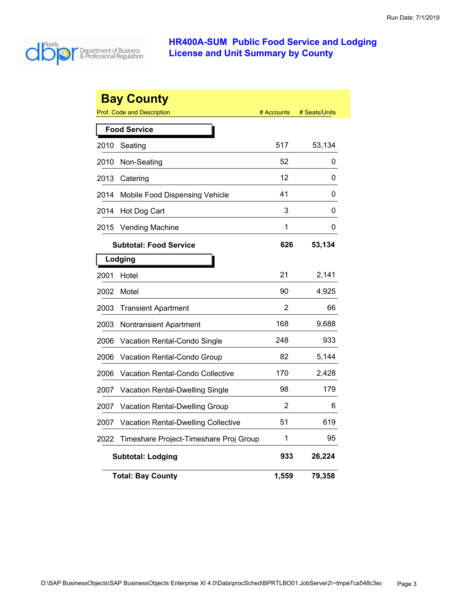

|      | <b>Bay County</b><br><b>Prof. Code and Description</b> | # Accounts | # Seats/Units |
|------|--------------------------------------------------------|------------|---------------|
|      | <b>Food Service</b>                                    |            |               |
| 2010 | Seating                                                | 517        | 53,134        |
| 2010 | Non-Seating                                            | 52         | 0             |
| 2013 | Catering                                               | 12         | 0             |
| 2014 | Mobile Food Dispensing Vehicle                         | 41         | 0             |
| 2014 | Hot Dog Cart                                           | 3          | 0             |
| 2015 | <b>Vending Machine</b>                                 | 1          | 0             |
|      | <b>Subtotal: Food Service</b>                          | 626        | 53,134        |
|      | Lodging                                                |            |               |
| 2001 | Hotel                                                  | 21         | 2,141         |
| 2002 | Motel                                                  | 90         | 4,925         |
| 2003 | <b>Transient Apartment</b>                             | 2          | 66            |
| 2003 | Nontransient Apartment                                 | 168        | 9,688         |
| 2006 | Vacation Rental-Condo Single                           | 248        | 933           |
| 2006 | Vacation Rental-Condo Group                            | 82         | 5,144         |
| 2006 | <b>Vacation Rental-Condo Collective</b>                | 170        | 2,428         |
| 2007 | Vacation Rental-Dwelling Single                        | 98         | 179           |
| 2007 | Vacation Rental-Dwelling Group                         | 2          | 6             |
| 2007 | <b>Vacation Rental-Dwelling Collective</b>             | 51         | 619           |
| 2022 | Timeshare Project-Timeshare Proj Group                 | 1          | 95            |
|      | <b>Subtotal: Lodging</b>                               | 933        | 26,224        |
|      | <b>Total: Bay County</b>                               | 1,559      | 79,358        |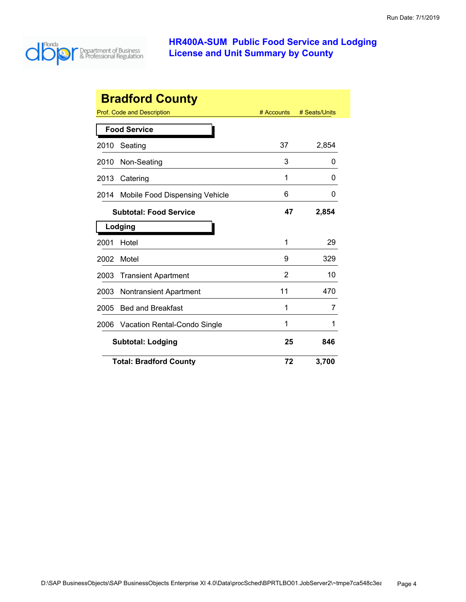

| <b>Bradford County</b> |                                |            |               |
|------------------------|--------------------------------|------------|---------------|
|                        | Prof. Code and Description     | # Accounts | # Seats/Units |
|                        | <b>Food Service</b>            |            |               |
| 2010                   | Seating                        | 37         | 2,854         |
| 2010                   | Non-Seating                    | 3          | O             |
| 2013                   | Catering                       | 1          | 0             |
| 2014                   | Mobile Food Dispensing Vehicle | 6          | 0             |
|                        | <b>Subtotal: Food Service</b>  | 47         | 2,854         |
|                        | Lodging                        |            |               |
| 2001                   | Hotel                          | 1          | 29            |
| 2002                   | Motel                          | 9          | 329           |
| 2003                   | <b>Transient Apartment</b>     | 2          | 10            |
| 2003                   | <b>Nontransient Apartment</b>  | 11         | 470           |
| 2005                   | <b>Bed and Breakfast</b>       | 1          | 7             |
| 2006                   | Vacation Rental-Condo Single   | 1          | 1             |
|                        | <b>Subtotal: Lodging</b>       |            | 846           |
|                        | <b>Total: Bradford County</b>  | 72         | 3,700         |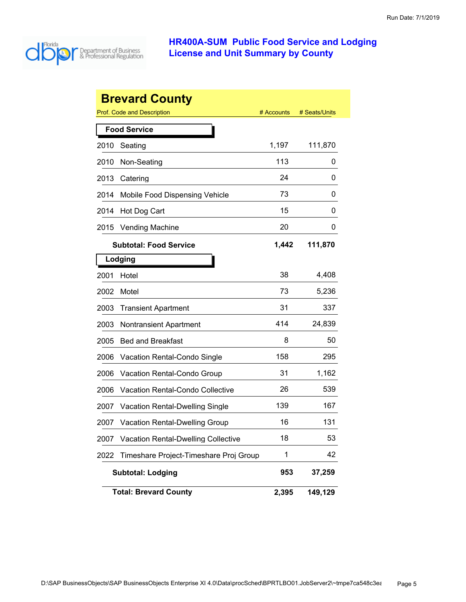

|      | <b>Brevard County</b>                      |            |               |
|------|--------------------------------------------|------------|---------------|
|      | <b>Prof. Code and Description</b>          | # Accounts | # Seats/Units |
|      | <b>Food Service</b>                        |            |               |
| 2010 | Seating                                    | 1,197      | 111,870       |
| 2010 | Non-Seating                                | 113        | 0             |
| 2013 | Catering                                   | 24         | 0             |
| 2014 | Mobile Food Dispensing Vehicle             | 73         | 0             |
| 2014 | Hot Dog Cart                               | 15         | 0             |
| 2015 | <b>Vending Machine</b>                     | 20         | 0             |
|      | <b>Subtotal: Food Service</b>              | 1,442      | 111,870       |
|      | Lodging                                    |            |               |
| 2001 | Hotel                                      | 38         | 4,408         |
| 2002 | Motel                                      | 73         | 5,236         |
| 2003 | <b>Transient Apartment</b>                 | 31         | 337           |
| 2003 | <b>Nontransient Apartment</b>              | 414        | 24,839        |
| 2005 | <b>Bed and Breakfast</b>                   | 8          | 50            |
| 2006 | Vacation Rental-Condo Single               | 158        | 295           |
| 2006 | Vacation Rental-Condo Group                | 31         | 1,162         |
| 2006 | <b>Vacation Rental-Condo Collective</b>    | 26         | 539           |
| 2007 | <b>Vacation Rental-Dwelling Single</b>     | 139        | 167           |
| 2007 | <b>Vacation Rental-Dwelling Group</b>      | 16         | 131           |
| 2007 | <b>Vacation Rental-Dwelling Collective</b> | 18         | 53            |
| 2022 | Timeshare Project-Timeshare Proj Group     | 1          | 42            |
|      | <b>Subtotal: Lodging</b>                   | 953        | 37,259        |
|      | <b>Total: Brevard County</b>               | 2,395      | 149,129       |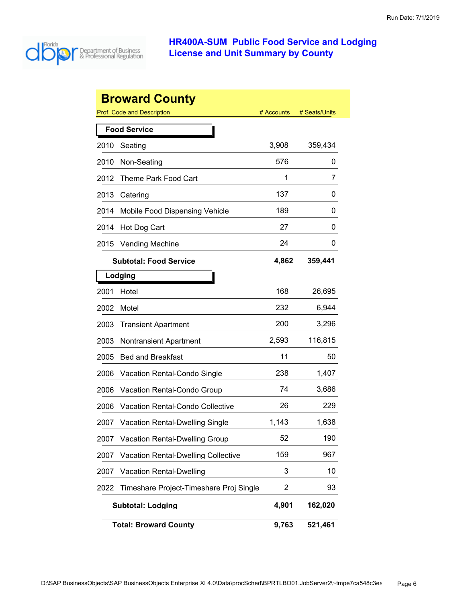

|      | <b>Broward County</b>                      |                |               |
|------|--------------------------------------------|----------------|---------------|
|      | <b>Prof. Code and Description</b>          | # Accounts     | # Seats/Units |
|      | <b>Food Service</b>                        |                |               |
| 2010 | Seating                                    | 3,908          | 359,434       |
| 2010 | Non-Seating                                | 576            | 0             |
| 2012 | Theme Park Food Cart                       | 1              | 7             |
| 2013 | Catering                                   | 137            | 0             |
| 2014 | Mobile Food Dispensing Vehicle             | 189            | 0             |
| 2014 | Hot Dog Cart                               | 27             | 0             |
| 2015 | <b>Vending Machine</b>                     | 24             | 0             |
|      | <b>Subtotal: Food Service</b>              | 4,862          | 359,441       |
|      | Lodging                                    |                |               |
| 2001 | Hotel                                      | 168            | 26,695        |
| 2002 | Motel                                      | 232            | 6,944         |
| 2003 | <b>Transient Apartment</b>                 | 200            | 3,296         |
| 2003 | <b>Nontransient Apartment</b>              | 2,593          | 116,815       |
| 2005 | <b>Bed and Breakfast</b>                   | 11             | 50            |
| 2006 | Vacation Rental-Condo Single               | 238            | 1,407         |
| 2006 | <b>Vacation Rental-Condo Group</b>         | 74             | 3,686         |
| 2006 | <b>Vacation Rental-Condo Collective</b>    | 26             | 229           |
| 2007 | Vacation Rental-Dwelling Single            | 1,143          | 1,638         |
| 2007 | <b>Vacation Rental-Dwelling Group</b>      | 52             | 190           |
| 2007 | <b>Vacation Rental-Dwelling Collective</b> | 159            | 967           |
| 2007 | <b>Vacation Rental-Dwelling</b>            | 3              | 10            |
| 2022 | Timeshare Project-Timeshare Proj Single    | $\overline{2}$ | 93            |
|      | <b>Subtotal: Lodging</b>                   | 4,901          | 162,020       |
|      | <b>Total: Broward County</b>               | 9,763          | 521,461       |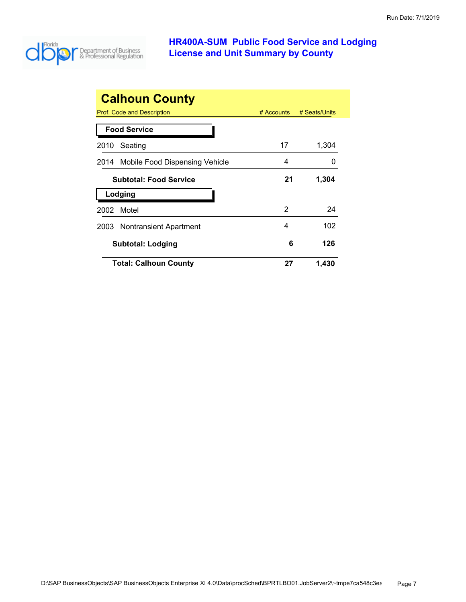

| <b>Calhoun County</b>               |            |               |
|-------------------------------------|------------|---------------|
| Prof. Code and Description          | # Accounts | # Seats/Units |
| <b>Food Service</b>                 |            |               |
| Seating<br>2010                     | 17         | 1,304         |
| 2014 Mobile Food Dispensing Vehicle | 4          |               |
| <b>Subtotal: Food Service</b>       | 21         | 1,304         |
| Lodging                             |            |               |
| Motel<br>2002                       | 2          | 24            |
| 2003 Nontransient Apartment         | 4          | 102           |
| Subtotal: Lodging                   | 6          | 126           |
| <b>Total: Calhoun County</b>        | 27         | 1,430         |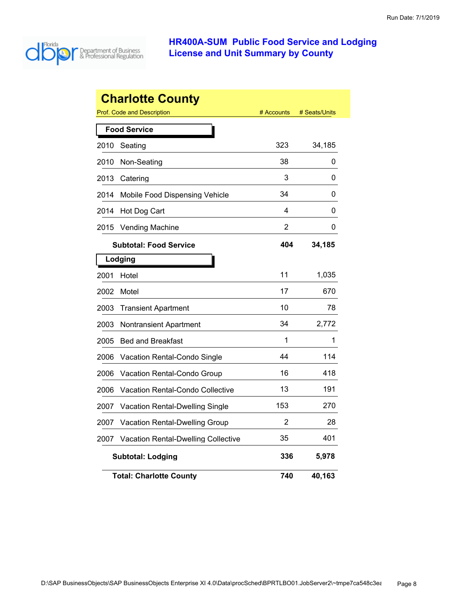

|      | <b>Charlotte County</b>                    |            |               |
|------|--------------------------------------------|------------|---------------|
|      | Prof. Code and Description                 | # Accounts | # Seats/Units |
|      | <b>Food Service</b>                        |            |               |
| 2010 | Seating                                    | 323        | 34,185        |
| 2010 | Non-Seating                                | 38         | 0             |
| 2013 | Catering                                   | 3          | 0             |
| 2014 | Mobile Food Dispensing Vehicle             | 34         | 0             |
| 2014 | Hot Dog Cart                               | 4          | 0             |
| 2015 | <b>Vending Machine</b>                     | 2          | 0             |
|      | <b>Subtotal: Food Service</b>              | 404        | 34,185        |
|      | Lodging                                    |            |               |
| 2001 | Hotel                                      | 11         | 1,035         |
| 2002 | Motel                                      | 17         | 670           |
| 2003 | <b>Transient Apartment</b>                 | 10         | 78            |
| 2003 | Nontransient Apartment                     | 34         | 2,772         |
| 2005 | <b>Bed and Breakfast</b>                   | 1          | 1             |
| 2006 | Vacation Rental-Condo Single               | 44         | 114           |
| 2006 | Vacation Rental-Condo Group                | 16         | 418           |
| 2006 | Vacation Rental-Condo Collective           | 13         | 191           |
| 2007 | Vacation Rental-Dwelling Single            | 153        | 270           |
| 2007 | Vacation Rental-Dwelling Group             | 2          | 28            |
| 2007 | <b>Vacation Rental-Dwelling Collective</b> | 35         | 401           |
|      | <b>Subtotal: Lodging</b>                   | 336        | 5,978         |
|      | <b>Total: Charlotte County</b>             | 740        | 40,163        |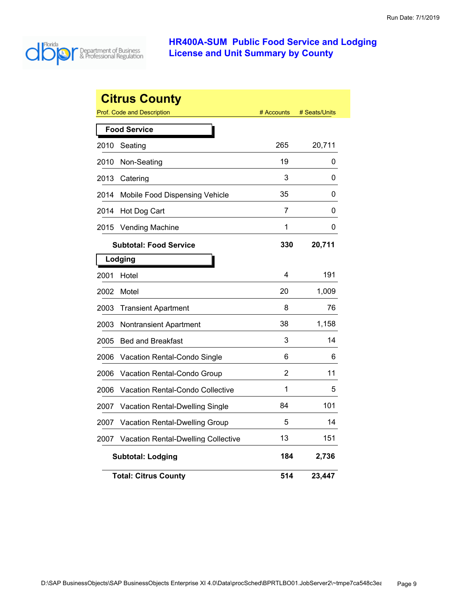

|      | <b>Citrus County</b><br><b>Prof. Code and Description</b> | # Accounts | # Seats/Units |
|------|-----------------------------------------------------------|------------|---------------|
|      | <b>Food Service</b>                                       |            |               |
| 2010 | Seating                                                   | 265        | 20,711        |
| 2010 | Non-Seating                                               | 19         | 0             |
| 2013 | Catering                                                  | 3          | 0             |
| 2014 | Mobile Food Dispensing Vehicle                            | 35         | 0             |
| 2014 | Hot Dog Cart                                              | 7          | 0             |
| 2015 | <b>Vending Machine</b>                                    | 1          | 0             |
|      | <b>Subtotal: Food Service</b>                             | 330        | 20,711        |
|      | Lodging                                                   |            |               |
| 2001 | Hotel                                                     | 4          | 191           |
| 2002 | Motel                                                     | 20         | 1,009         |
| 2003 | <b>Transient Apartment</b>                                | 8          | 76            |
| 2003 | Nontransient Apartment                                    | 38         | 1,158         |
| 2005 | <b>Bed and Breakfast</b>                                  | 3          | 14            |
| 2006 | Vacation Rental-Condo Single                              | 6          | 6             |
| 2006 | <b>Vacation Rental-Condo Group</b>                        | 2          | 11            |
| 2006 | <b>Vacation Rental-Condo Collective</b>                   | 1          | 5             |
| 2007 | <b>Vacation Rental-Dwelling Single</b>                    | 84         | 101           |
| 2007 | <b>Vacation Rental-Dwelling Group</b>                     | 5          | 14            |
| 2007 | <b>Vacation Rental-Dwelling Collective</b>                | 13         | 151           |
|      | <b>Subtotal: Lodging</b>                                  | 184        | 2,736         |
|      | <b>Total: Citrus County</b>                               | 514        | 23,447        |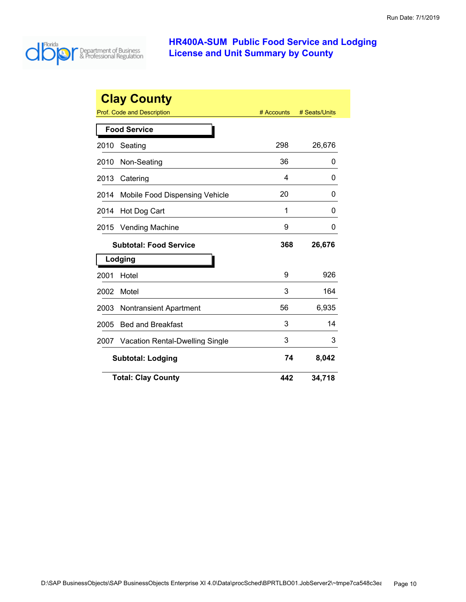

| <b>Clay County</b> |                                        |            |               |
|--------------------|----------------------------------------|------------|---------------|
|                    | Prof. Code and Description             | # Accounts | # Seats/Units |
|                    | <b>Food Service</b>                    |            |               |
| 2010               | Seating                                | 298        | 26,676        |
| 2010               | Non-Seating                            | 36         | 0             |
| 2013               | Catering                               | 4          | O             |
| 2014               | Mobile Food Dispensing Vehicle         | 20         | O             |
| 2014               | Hot Dog Cart                           | 1          | 0             |
| 2015               | <b>Vending Machine</b>                 | 9          | O             |
|                    | <b>Subtotal: Food Service</b>          | 368        | 26,676        |
|                    | Lodging                                |            |               |
| 2001               | Hotel                                  | 9          | 926           |
| 2002               | Motel                                  | 3          | 164           |
| 2003               | <b>Nontransient Apartment</b>          | 56         | 6,935         |
| 2005               | <b>Bed and Breakfast</b>               | 3          | 14            |
| 2007               | <b>Vacation Rental-Dwelling Single</b> | 3          | 3             |
|                    | <b>Subtotal: Lodging</b>               | 74         | 8,042         |
|                    | <b>Total: Clay County</b>              | 442        | 34,718        |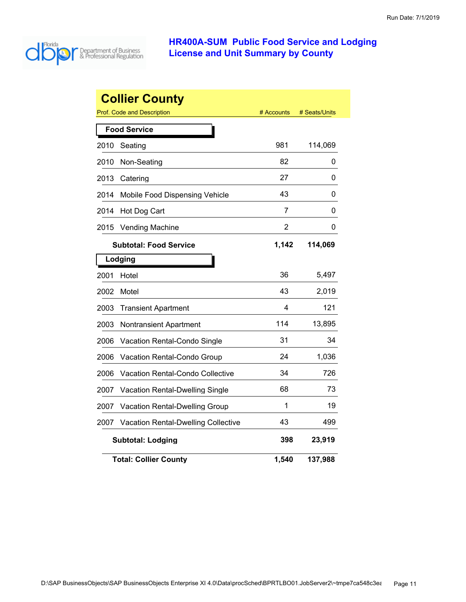

|      | <b>Collier County</b><br><b>Prof. Code and Description</b> | # Accounts | # Seats/Units |
|------|------------------------------------------------------------|------------|---------------|
|      |                                                            |            |               |
|      | <b>Food Service</b>                                        |            |               |
| 2010 | Seating                                                    | 981        | 114,069       |
| 2010 | Non-Seating                                                | 82         | 0             |
| 2013 | Catering                                                   | 27         | 0             |
| 2014 | Mobile Food Dispensing Vehicle                             | 43         | 0             |
| 2014 | Hot Dog Cart                                               | 7          | 0             |
| 2015 | <b>Vending Machine</b>                                     | 2          | 0             |
|      | <b>Subtotal: Food Service</b>                              | 1,142      | 114,069       |
|      | Lodging                                                    |            |               |
| 2001 | Hotel                                                      | 36         | 5,497         |
| 2002 | Motel                                                      | 43         | 2,019         |
| 2003 | <b>Transient Apartment</b>                                 | 4          | 121           |
| 2003 | <b>Nontransient Apartment</b>                              | 114        | 13,895        |
| 2006 | Vacation Rental-Condo Single                               | 31         | 34            |
| 2006 | Vacation Rental-Condo Group                                | 24         | 1,036         |
| 2006 | Vacation Rental-Condo Collective                           | 34         | 726           |
| 2007 | Vacation Rental-Dwelling Single                            | 68         | 73            |
| 2007 | <b>Vacation Rental-Dwelling Group</b>                      | 1          | 19            |
| 2007 | <b>Vacation Rental-Dwelling Collective</b>                 | 43         | 499           |
|      | <b>Subtotal: Lodging</b>                                   | 398        | 23,919        |
|      | <b>Total: Collier County</b>                               | 1,540      | 137,988       |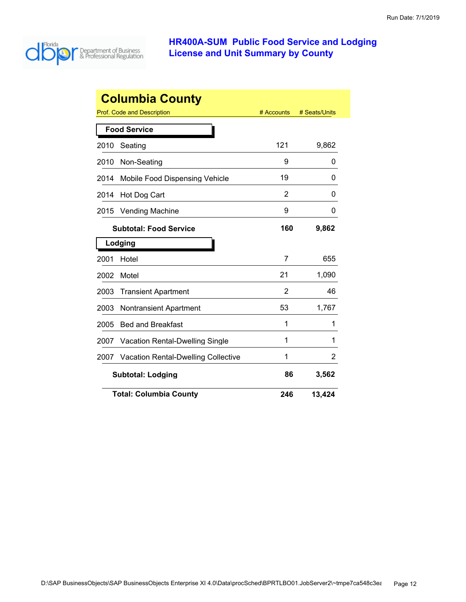

| <b>Columbia County</b>         |                                            |            |               |  |
|--------------------------------|--------------------------------------------|------------|---------------|--|
|                                | Prof. Code and Description                 | # Accounts | # Seats/Units |  |
|                                | <b>Food Service</b>                        |            |               |  |
| 2010                           | Seating                                    | 121        | 9,862         |  |
| 2010                           | Non-Seating                                | 9          | 0             |  |
| 2014                           | Mobile Food Dispensing Vehicle             | 19         | 0             |  |
| 2014                           | Hot Dog Cart                               | 2          | 0             |  |
| 2015                           | Vending Machine                            | 9          | 0             |  |
|                                | <b>Subtotal: Food Service</b>              | 160        | 9,862         |  |
|                                | Lodging                                    |            |               |  |
| 2001                           | Hotel                                      | 7          | 655           |  |
| 2002                           | Motel                                      | 21         | 1,090         |  |
| 2003                           | <b>Transient Apartment</b>                 | 2          | 46            |  |
| 2003                           | <b>Nontransient Apartment</b>              | 53         | 1,767         |  |
| 2005                           | <b>Bed and Breakfast</b>                   | 1          | 1             |  |
| 2007                           | <b>Vacation Rental-Dwelling Single</b>     | 1          | 1             |  |
| 2007                           | <b>Vacation Rental-Dwelling Collective</b> | 1          | 2             |  |
| <b>Subtotal: Lodging</b><br>86 |                                            |            | 3,562         |  |
|                                | <b>Total: Columbia County</b>              | 246        | 13,424        |  |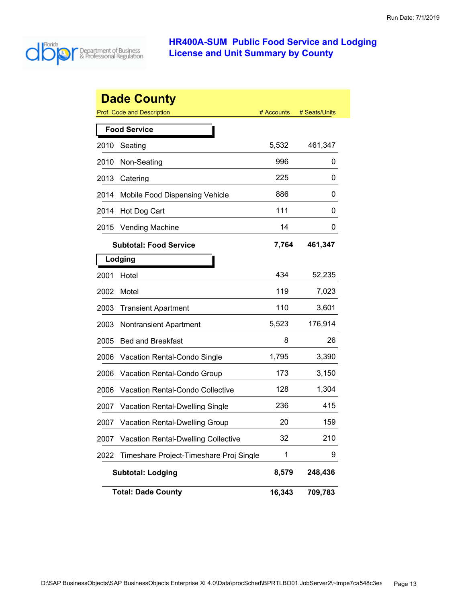

|      | <b>Dade County</b>                         |            |               |
|------|--------------------------------------------|------------|---------------|
|      | <b>Prof. Code and Description</b>          | # Accounts | # Seats/Units |
|      | <b>Food Service</b>                        |            |               |
| 2010 | Seating                                    | 5,532      | 461,347       |
| 2010 | Non-Seating                                | 996        | 0             |
| 2013 | Catering                                   | 225        | 0             |
| 2014 | Mobile Food Dispensing Vehicle             | 886        | 0             |
| 2014 | Hot Dog Cart                               | 111        | 0             |
| 2015 | <b>Vending Machine</b>                     | 14         | 0             |
|      | <b>Subtotal: Food Service</b>              | 7,764      | 461,347       |
|      | Lodging                                    |            |               |
| 2001 | Hotel                                      | 434        | 52,235        |
| 2002 | Motel                                      | 119        | 7,023         |
| 2003 | <b>Transient Apartment</b>                 | 110        | 3,601         |
| 2003 | <b>Nontransient Apartment</b>              | 5,523      | 176,914       |
| 2005 | <b>Bed and Breakfast</b>                   | 8          | 26            |
| 2006 | Vacation Rental-Condo Single               | 1,795      | 3,390         |
| 2006 | Vacation Rental-Condo Group                | 173        | 3,150         |
| 2006 | Vacation Rental-Condo Collective           | 128        | 1,304         |
| 2007 | <b>Vacation Rental-Dwelling Single</b>     | 236        | 415           |
| 2007 | <b>Vacation Rental-Dwelling Group</b>      | 20         | 159           |
| 2007 | <b>Vacation Rental-Dwelling Collective</b> | 32         | 210           |
| 2022 | Timeshare Project-Timeshare Proj Single    | 1          | 9             |
|      | <b>Subtotal: Lodging</b>                   | 8,579      | 248,436       |
|      | <b>Total: Dade County</b>                  | 16,343     | 709,783       |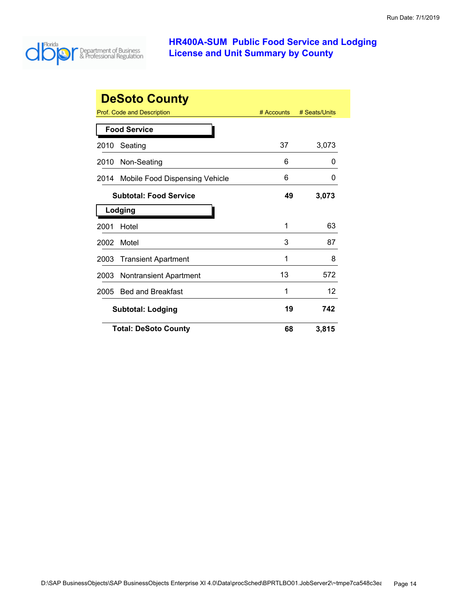

|      | <b>DeSoto County</b>              |            |               |
|------|-----------------------------------|------------|---------------|
|      | <b>Prof. Code and Description</b> | # Accounts | # Seats/Units |
|      | <b>Food Service</b>               |            |               |
| 2010 | Seating                           | 37         | 3,073         |
| 2010 | Non-Seating                       | 6          | 0             |
| 2014 | Mobile Food Dispensing Vehicle    | 6          | O             |
|      | <b>Subtotal: Food Service</b>     | 49         | 3,073         |
|      | Lodging                           |            |               |
| 2001 | Hotel                             | 1          | 63            |
| 2002 | Motel                             | 3          | 87            |
| 2003 | <b>Transient Apartment</b>        | 1          | 8             |
| 2003 | Nontransient Apartment            | 13         | 572           |
| 2005 | <b>Bed and Breakfast</b>          | 1          | 12            |
|      | <b>Subtotal: Lodging</b>          |            | 742           |
|      | <b>Total: DeSoto County</b>       | 68         | 3,815         |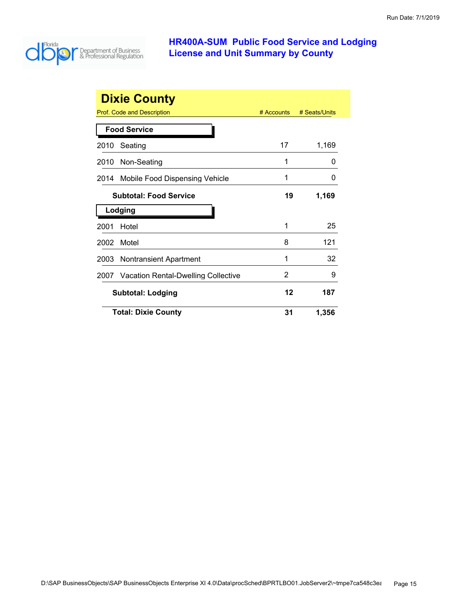

| <b>Dixie County</b> |                                          |            |               |  |
|---------------------|------------------------------------------|------------|---------------|--|
|                     | Prof. Code and Description               | # Accounts | # Seats/Units |  |
|                     | <b>Food Service</b>                      |            |               |  |
| 2010                | Seating                                  | 17         | 1,169         |  |
|                     | 2010 Non-Seating                         | 1          | $\Omega$      |  |
| 2014                | Mobile Food Dispensing Vehicle           | 1          | 0             |  |
|                     | <b>Subtotal: Food Service</b>            | 19         | 1,169         |  |
|                     | Lodging                                  |            |               |  |
| 2001                | Hotel                                    | 1          | 25            |  |
| 2002                | Motel                                    | 8          | 121           |  |
|                     | 2003 Nontransient Apartment              | 1          | 32            |  |
|                     | 2007 Vacation Rental-Dwelling Collective | 2          | 9             |  |
|                     | <b>Subtotal: Lodging</b>                 | 12         | 187           |  |
|                     | <b>Total: Dixie County</b>               | 31         | 1,356         |  |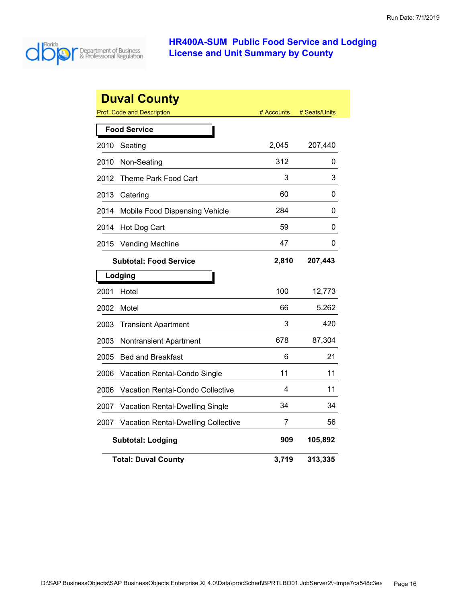

|                               | <b>Duval County</b>                        |            |               |  |  |
|-------------------------------|--------------------------------------------|------------|---------------|--|--|
|                               | <b>Prof. Code and Description</b>          | # Accounts | # Seats/Units |  |  |
|                               | <b>Food Service</b>                        |            |               |  |  |
| 2010                          | Seating                                    | 2,045      | 207,440       |  |  |
| 2010                          | Non-Seating                                | 312        | 0             |  |  |
| 2012                          | Theme Park Food Cart                       | 3          | 3             |  |  |
| 2013                          | Catering                                   | 60         | 0             |  |  |
| 2014                          | Mobile Food Dispensing Vehicle             | 284        | 0             |  |  |
| 2014                          | Hot Dog Cart                               | 59         | 0             |  |  |
| 2015                          | <b>Vending Machine</b>                     | 47         | 0             |  |  |
| <b>Subtotal: Food Service</b> |                                            | 2,810      | 207,443       |  |  |
|                               | Lodging                                    |            |               |  |  |
| 2001                          | Hotel                                      | 100        | 12,773        |  |  |
| 2002                          | Motel                                      | 66         | 5,262         |  |  |
| 2003                          | <b>Transient Apartment</b>                 | 3          | 420           |  |  |
| 2003                          | <b>Nontransient Apartment</b>              | 678        | 87,304        |  |  |
| 2005                          | <b>Bed and Breakfast</b>                   | 6          | 21            |  |  |
| 2006                          | Vacation Rental-Condo Single               | 11         | 11            |  |  |
| 2006                          | Vacation Rental-Condo Collective           | 4          | 11            |  |  |
| 2007                          | <b>Vacation Rental-Dwelling Single</b>     | 34         | 34            |  |  |
| 2007                          | <b>Vacation Rental-Dwelling Collective</b> | 7          | 56            |  |  |
|                               | <b>Subtotal: Lodging</b>                   | 909        | 105,892       |  |  |
|                               | <b>Total: Duval County</b>                 | 3,719      | 313,335       |  |  |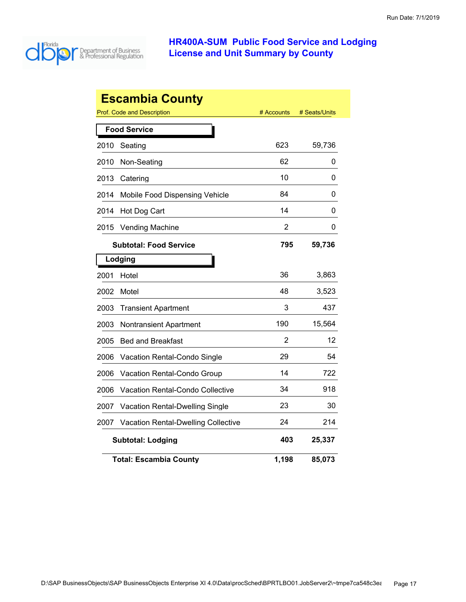

|      | <b>Escambia County</b>                     |            |               |
|------|--------------------------------------------|------------|---------------|
|      | Prof. Code and Description                 | # Accounts | # Seats/Units |
|      | <b>Food Service</b>                        |            |               |
| 2010 | Seating                                    | 623        | 59,736        |
| 2010 | Non-Seating                                | 62         | 0             |
| 2013 | Catering                                   | 10         | 0             |
| 2014 | Mobile Food Dispensing Vehicle             | 84         | 0             |
| 2014 | Hot Dog Cart                               | 14         | 0             |
| 2015 | <b>Vending Machine</b>                     | 2          | 0             |
|      | <b>Subtotal: Food Service</b>              | 795        | 59,736        |
|      | Lodging                                    |            |               |
| 2001 | Hotel                                      | 36         | 3,863         |
| 2002 | Motel                                      | 48         | 3,523         |
| 2003 | <b>Transient Apartment</b>                 | 3          | 437           |
| 2003 | <b>Nontransient Apartment</b>              | 190        | 15,564        |
| 2005 | <b>Bed and Breakfast</b>                   | 2          | 12            |
| 2006 | Vacation Rental-Condo Single               | 29         | 54            |
| 2006 | Vacation Rental-Condo Group                | 14         | 722           |
| 2006 | Vacation Rental-Condo Collective           | 34         | 918           |
| 2007 | Vacation Rental-Dwelling Single            | 23         | 30            |
| 2007 | <b>Vacation Rental-Dwelling Collective</b> | 24         | 214           |
|      | <b>Subtotal: Lodging</b>                   | 403        | 25,337        |
|      | <b>Total: Escambia County</b>              | 1,198      | 85,073        |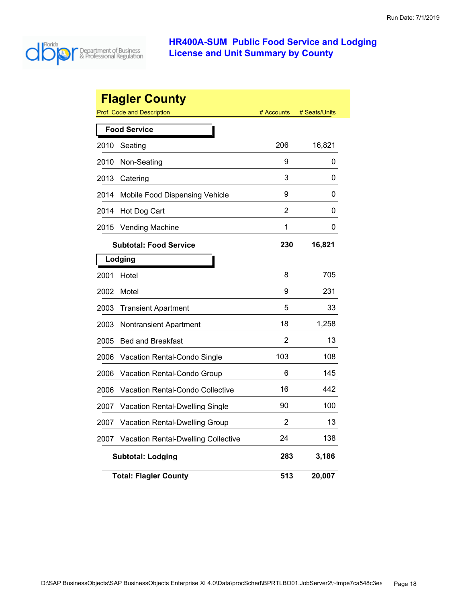

|      | <b>Flagler County</b>                      |            |               |
|------|--------------------------------------------|------------|---------------|
|      | Prof. Code and Description                 | # Accounts | # Seats/Units |
|      | <b>Food Service</b>                        |            |               |
| 2010 | Seating                                    | 206        | 16,821        |
| 2010 | Non-Seating                                | 9          | 0             |
| 2013 | Catering                                   | 3          | 0             |
| 2014 | Mobile Food Dispensing Vehicle             | 9          | 0             |
| 2014 | Hot Dog Cart                               | 2          | 0             |
| 2015 | <b>Vending Machine</b>                     | 1          | 0             |
|      | <b>Subtotal: Food Service</b>              | 230        | 16,821        |
|      | Lodging                                    |            |               |
| 2001 | Hotel                                      | 8          | 705           |
| 2002 | Motel                                      | 9          | 231           |
| 2003 | <b>Transient Apartment</b>                 | 5          | 33            |
| 2003 | Nontransient Apartment                     | 18         | 1,258         |
| 2005 | <b>Bed and Breakfast</b>                   | 2          | 13            |
| 2006 | Vacation Rental-Condo Single               | 103        | 108           |
| 2006 | Vacation Rental-Condo Group                | 6          | 145           |
| 2006 | <b>Vacation Rental-Condo Collective</b>    | 16         | 442           |
| 2007 | <b>Vacation Rental-Dwelling Single</b>     | 90         | 100           |
| 2007 | <b>Vacation Rental-Dwelling Group</b>      | 2          | 13            |
| 2007 | <b>Vacation Rental-Dwelling Collective</b> | 24         | 138           |
|      | <b>Subtotal: Lodging</b>                   | 283        | 3,186         |
|      | <b>Total: Flagler County</b>               | 513        | 20,007        |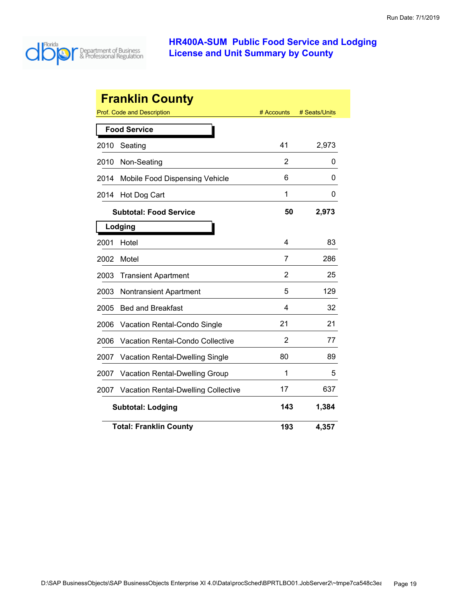

|      | <b>Franklin County</b>                     |            |               |
|------|--------------------------------------------|------------|---------------|
|      | <b>Prof. Code and Description</b>          | # Accounts | # Seats/Units |
|      | <b>Food Service</b>                        |            |               |
| 2010 | Seating                                    | 41         | 2,973         |
| 2010 | Non-Seating                                | 2          | 0             |
| 2014 | Mobile Food Dispensing Vehicle             | 6          | 0             |
| 2014 | Hot Dog Cart                               | 1          | 0             |
|      | <b>Subtotal: Food Service</b>              | 50         | 2,973         |
|      | Lodging                                    |            |               |
| 2001 | Hotel                                      | 4          | 83            |
| 2002 | Motel                                      | 7          | 286           |
| 2003 | <b>Transient Apartment</b>                 | 2          | 25            |
| 2003 | <b>Nontransient Apartment</b>              | 5          | 129           |
| 2005 | <b>Bed and Breakfast</b>                   | 4          | 32            |
| 2006 | Vacation Rental-Condo Single               | 21         | 21            |
| 2006 | <b>Vacation Rental-Condo Collective</b>    | 2          | 77            |
| 2007 | <b>Vacation Rental-Dwelling Single</b>     | 80         | 89            |
| 2007 | <b>Vacation Rental-Dwelling Group</b>      | 1          | 5             |
| 2007 | <b>Vacation Rental-Dwelling Collective</b> | 17         | 637           |
|      | <b>Subtotal: Lodging</b>                   | 143        | 1,384         |
|      | <b>Total: Franklin County</b>              | 193        | 4,357         |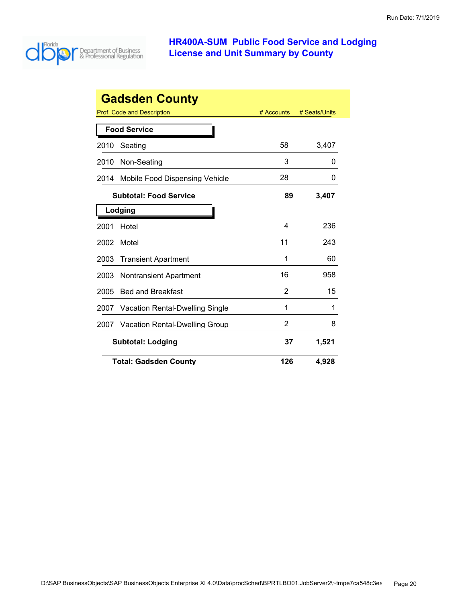

| <b>Gadsden County</b>                          |  |            |               |  |
|------------------------------------------------|--|------------|---------------|--|
| Prof. Code and Description                     |  | # Accounts | # Seats/Units |  |
| <b>Food Service</b>                            |  |            |               |  |
| Seating<br>2010                                |  | 58         | 3,407         |  |
| Non-Seating<br>2010                            |  | 3          | O             |  |
| Mobile Food Dispensing Vehicle<br>2014         |  | 28         | O             |  |
| <b>Subtotal: Food Service</b>                  |  | 89         | 3,407         |  |
| Lodging                                        |  |            |               |  |
| 2001<br>Hotel                                  |  | 4          | 236           |  |
| Motel<br>2002                                  |  | 11         | 243           |  |
| 2003<br><b>Transient Apartment</b>             |  | 1          | 60            |  |
| 2003<br><b>Nontransient Apartment</b>          |  | 16         | 958           |  |
| 2005<br><b>Bed and Breakfast</b>               |  | 2          | 15            |  |
| <b>Vacation Rental-Dwelling Single</b><br>2007 |  | 1          | 1             |  |
| <b>Vacation Rental-Dwelling Group</b><br>2007  |  | 2          | 8             |  |
| <b>Subtotal: Lodging</b>                       |  | 37         | 1,521         |  |
| <b>Total: Gadsden County</b>                   |  | 126        | 4,928         |  |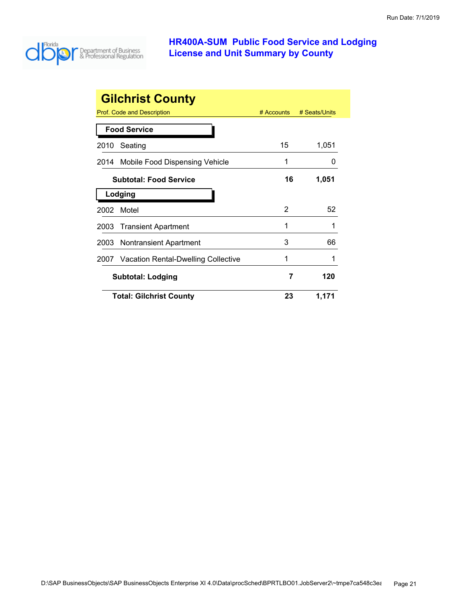

| <b>Gilchrist County</b> |                                     |            |               |  |
|-------------------------|-------------------------------------|------------|---------------|--|
|                         | Prof. Code and Description          | # Accounts | # Seats/Units |  |
|                         | <b>Food Service</b>                 |            |               |  |
| 2010                    | Seating                             | 15         | 1,051         |  |
| 2014                    | Mobile Food Dispensing Vehicle      | 1          |               |  |
|                         | <b>Subtotal: Food Service</b>       | 16         | 1,051         |  |
|                         | Lodging                             |            |               |  |
| 2002                    | Motel                               | 2          | 52            |  |
| 2003                    | <b>Transient Apartment</b>          | 1          | 1             |  |
| 2003                    | <b>Nontransient Apartment</b>       | 3          | 66            |  |
| 2007                    | Vacation Rental-Dwelling Collective | 1          |               |  |
|                         | <b>Subtotal: Lodging</b>            |            | 120           |  |
|                         | <b>Total: Gilchrist County</b>      | 23         | 1,171         |  |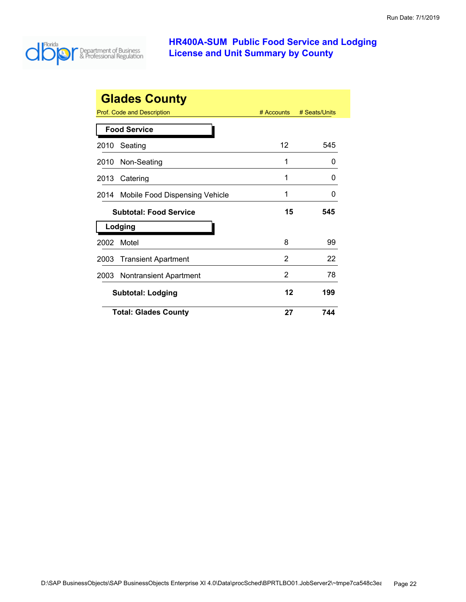

|      | <b>Glades County</b>           |            |               |
|------|--------------------------------|------------|---------------|
|      | Prof. Code and Description     | # Accounts | # Seats/Units |
|      | <b>Food Service</b>            |            |               |
| 2010 | Seating                        | 12         | 545           |
| 2010 | Non-Seating                    | 1          | 0             |
| 2013 | Catering                       | 1          | O             |
| 2014 | Mobile Food Dispensing Vehicle | 1          | ი             |
|      | <b>Subtotal: Food Service</b>  | 15         | 545           |
|      | Lodging                        |            |               |
| 2002 | Motel                          | 8          | 99            |
| 2003 | <b>Transient Apartment</b>     | 2          | 22            |
| 2003 | <b>Nontransient Apartment</b>  | 2          | 78            |
|      | <b>Subtotal: Lodging</b>       | 12         | 199           |
|      | <b>Total: Glades County</b>    | 27         | 744           |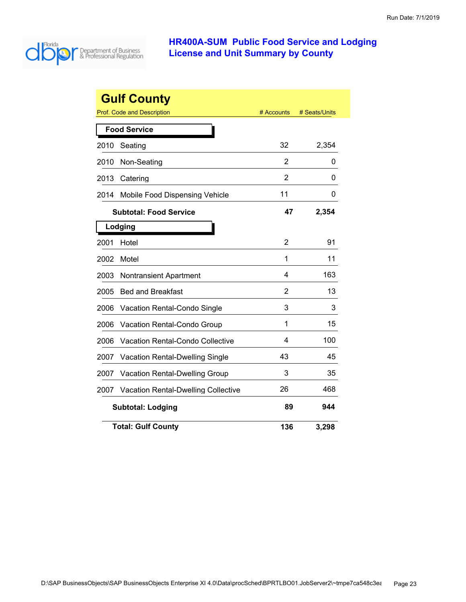

|      | <b>Gulf County</b>                      |            |               |
|------|-----------------------------------------|------------|---------------|
|      | <b>Prof. Code and Description</b>       | # Accounts | # Seats/Units |
|      | <b>Food Service</b>                     |            |               |
| 2010 | Seating                                 | 32         | 2,354         |
| 2010 | Non-Seating                             | 2          | 0             |
| 2013 | Catering                                | 2          | 0             |
| 2014 | Mobile Food Dispensing Vehicle          | 11         | 0             |
|      | <b>Subtotal: Food Service</b>           | 47         | 2,354         |
|      | Lodging                                 |            |               |
| 2001 | Hotel                                   | 2          | 91            |
| 2002 | Motel                                   | 1          | 11            |
| 2003 | <b>Nontransient Apartment</b>           | 4          | 163           |
| 2005 | <b>Bed and Breakfast</b>                | 2          | 13            |
| 2006 | <b>Vacation Rental-Condo Single</b>     | 3          | 3             |
| 2006 | Vacation Rental-Condo Group             | 1          | 15            |
| 2006 | <b>Vacation Rental-Condo Collective</b> | 4          | 100           |
| 2007 | <b>Vacation Rental-Dwelling Single</b>  | 43         | 45            |
| 2007 | <b>Vacation Rental-Dwelling Group</b>   | 3          | 35            |
| 2007 | Vacation Rental-Dwelling Collective     | 26         | 468           |
|      | <b>Subtotal: Lodging</b>                | 89         | 944           |
|      | <b>Total: Gulf County</b>               | 136        | 3,298         |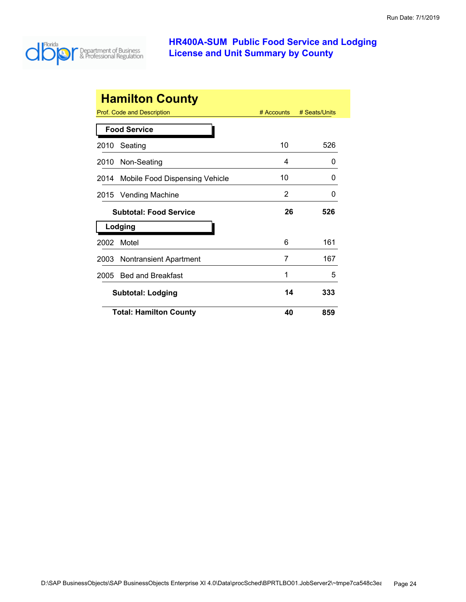

|      | <b>Hamilton County</b>            |              |               |
|------|-----------------------------------|--------------|---------------|
|      | <b>Prof. Code and Description</b> | $#$ Accounts | # Seats/Units |
|      | <b>Food Service</b>               |              |               |
| 2010 | Seating                           | 10           | 526           |
| 2010 | Non-Seating                       | 4            | 0             |
| 2014 | Mobile Food Dispensing Vehicle    | 10           | O             |
| 2015 | <b>Vending Machine</b>            | 2            | O             |
|      | <b>Subtotal: Food Service</b>     | 26           | 526           |
|      | Lodging                           |              |               |
| 2002 | Motel                             | 6            | 161           |
| 2003 | Nontransient Apartment            | 7            | 167           |
| 2005 | <b>Bed and Breakfast</b>          | 1            | 5             |
|      | <b>Subtotal: Lodging</b>          | 14           | 333           |
|      | <b>Total: Hamilton County</b>     | 40           | 859           |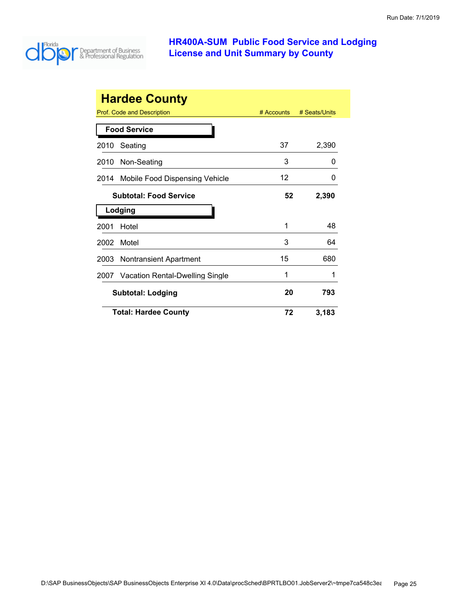

|      | <b>Hardee County</b>              |            |               |
|------|-----------------------------------|------------|---------------|
|      | <b>Prof. Code and Description</b> | # Accounts | # Seats/Units |
|      | <b>Food Service</b>               |            |               |
| 2010 | Seating                           | 37         | 2,390         |
| 2010 | Non-Seating                       | 3          | O             |
| 2014 | Mobile Food Dispensing Vehicle    | 12         | $\mathbf{0}$  |
|      | <b>Subtotal: Food Service</b>     |            | 2,390         |
|      |                                   |            |               |
|      | Lodging                           |            |               |
| 2001 | Hotel                             | 1          | 48            |
| 2002 | Motel                             | 3          | 64            |
| 2003 | <b>Nontransient Apartment</b>     | 15         | 680           |
| 2007 | Vacation Rental-Dwelling Single   | 1          |               |
|      | <b>Subtotal: Lodging</b>          | 20         | 793           |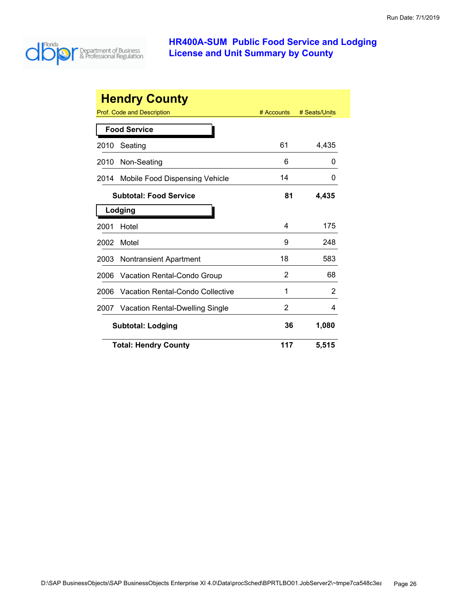

| <b>Hendry County</b> |                                         |            |               |
|----------------------|-----------------------------------------|------------|---------------|
|                      | Prof. Code and Description              | # Accounts | # Seats/Units |
|                      | <b>Food Service</b>                     |            |               |
| 2010                 | Seating                                 | 61         | 4,435         |
| 2010                 | Non-Seating                             | 6          | 0             |
| 2014                 | Mobile Food Dispensing Vehicle          | 14         | 0             |
|                      | <b>Subtotal: Food Service</b>           | 81         | 4,435         |
|                      | Lodging                                 |            |               |
| 2001                 | Hotel                                   | 4          | 175           |
| 2002                 | Motel                                   | 9          | 248           |
| 2003                 | Nontransient Apartment                  | 18         | 583           |
| 2006                 | Vacation Rental-Condo Group             | 2          | 68            |
| 2006                 | <b>Vacation Rental-Condo Collective</b> | 1          | 2             |
| 2007                 | Vacation Rental-Dwelling Single         | 2          | 4             |
|                      | <b>Subtotal: Lodging</b>                |            | 1,080         |
|                      | <b>Total: Hendry County</b>             | 117        | 5,515         |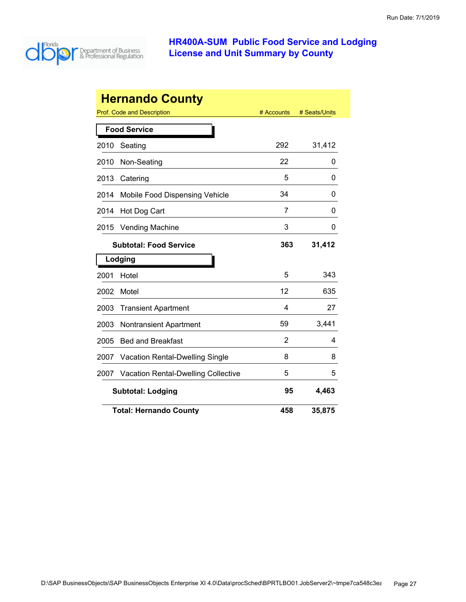

| <b>Hernando County</b> |                                                           |     |        |  |  |
|------------------------|-----------------------------------------------------------|-----|--------|--|--|
|                        | Prof. Code and Description<br># Seats/Units<br># Accounts |     |        |  |  |
|                        | <b>Food Service</b>                                       |     |        |  |  |
| 2010                   | Seating                                                   | 292 | 31,412 |  |  |
| 2010                   | Non-Seating                                               | 22  | 0      |  |  |
| 2013                   | Catering                                                  | 5   | 0      |  |  |
| 2014                   | Mobile Food Dispensing Vehicle                            | 34  | 0      |  |  |
| 2014                   | Hot Dog Cart                                              | 7   | 0      |  |  |
| 2015                   | <b>Vending Machine</b>                                    | 3   | 0      |  |  |
|                        | <b>Subtotal: Food Service</b>                             | 363 | 31,412 |  |  |
|                        | Lodging                                                   |     |        |  |  |
| 2001                   | Hotel                                                     | 5   | 343    |  |  |
| 2002                   | Motel                                                     | 12  | 635    |  |  |
| 2003                   | <b>Transient Apartment</b>                                | 4   | 27     |  |  |
| 2003                   | <b>Nontransient Apartment</b>                             | 59  | 3,441  |  |  |
| 2005                   | <b>Bed and Breakfast</b>                                  | 2   | 4      |  |  |
| 2007                   | <b>Vacation Rental-Dwelling Single</b>                    | 8   | 8      |  |  |
| 2007                   | <b>Vacation Rental-Dwelling Collective</b>                | 5   | 5      |  |  |
|                        | 95<br>4,463<br><b>Subtotal: Lodging</b>                   |     |        |  |  |
|                        | <b>Total: Hernando County</b>                             | 458 | 35,875 |  |  |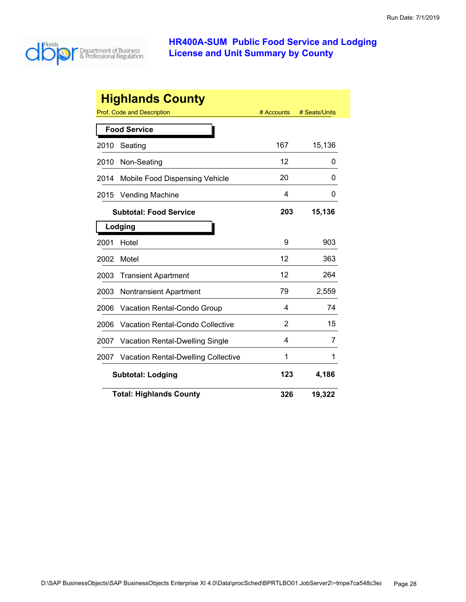

|      | <b>Highlands County</b>                    |            |               |
|------|--------------------------------------------|------------|---------------|
|      | Prof. Code and Description                 | # Accounts | # Seats/Units |
|      | <b>Food Service</b>                        |            |               |
| 2010 | Seating                                    | 167        | 15,136        |
| 2010 | Non-Seating                                | 12         | 0             |
| 2014 | Mobile Food Dispensing Vehicle             | 20         | 0             |
| 2015 | <b>Vending Machine</b>                     | 4          | 0             |
|      | <b>Subtotal: Food Service</b>              | 203        | 15,136        |
|      | Lodging                                    |            |               |
| 2001 | Hotel                                      | 9          | 903           |
| 2002 | Motel                                      | 12         | 363           |
| 2003 | <b>Transient Apartment</b>                 | 12         | 264           |
| 2003 | <b>Nontransient Apartment</b>              | 79         | 2,559         |
| 2006 | Vacation Rental-Condo Group                | 4          | 74            |
| 2006 | <b>Vacation Rental-Condo Collective</b>    | 2          | 15            |
| 2007 | <b>Vacation Rental-Dwelling Single</b>     | 4          | 7             |
| 2007 | <b>Vacation Rental-Dwelling Collective</b> | 1          | 1             |
|      | <b>Subtotal: Lodging</b>                   | 123        | 4,186         |
|      | <b>Total: Highlands County</b>             | 326        | 19,322        |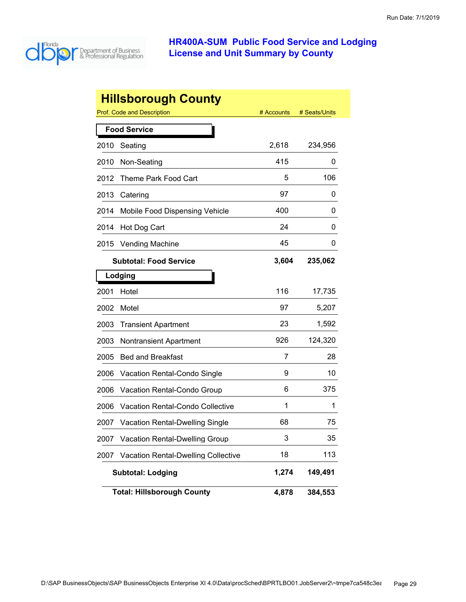

|      | <b>Hillsborough County</b>                 |            |               |
|------|--------------------------------------------|------------|---------------|
|      | <b>Prof. Code and Description</b>          | # Accounts | # Seats/Units |
|      | <b>Food Service</b>                        |            |               |
| 2010 | Seating                                    | 2,618      | 234,956       |
| 2010 | Non-Seating                                | 415        | 0             |
| 2012 | Theme Park Food Cart                       | 5          | 106           |
| 2013 | Catering                                   | 97         | 0             |
| 2014 | Mobile Food Dispensing Vehicle             | 400        | 0             |
| 2014 | Hot Dog Cart                               | 24         | O             |
| 2015 | <b>Vending Machine</b>                     | 45         | 0             |
|      | <b>Subtotal: Food Service</b>              | 3,604      | 235,062       |
|      | Lodging                                    |            |               |
| 2001 | Hotel                                      | 116        | 17,735        |
| 2002 | Motel                                      | 97         | 5,207         |
| 2003 | <b>Transient Apartment</b>                 | 23         | 1,592         |
| 2003 | Nontransient Apartment                     | 926        | 124,320       |
| 2005 | <b>Bed and Breakfast</b>                   | 7          | 28            |
| 2006 | Vacation Rental-Condo Single               | 9          | 10            |
| 2006 | <b>Vacation Rental-Condo Group</b>         | 6          | 375           |
| 2006 | Vacation Rental-Condo Collective           | 1          | 1             |
| 2007 | <b>Vacation Rental-Dwelling Single</b>     | 68         | 75            |
| 2007 | <b>Vacation Rental-Dwelling Group</b>      | 3          | 35            |
| 2007 | <b>Vacation Rental-Dwelling Collective</b> | 18         | 113           |
|      | <b>Subtotal: Lodging</b>                   | 1,274      | 149,491       |
|      | <b>Total: Hillsborough County</b>          | 4,878      | 384,553       |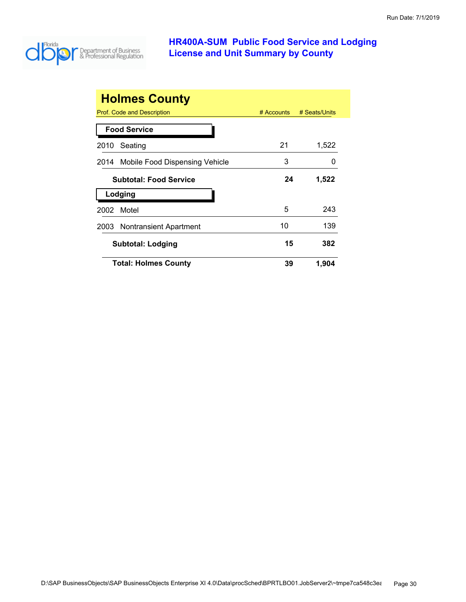

| <b>Holmes County</b>                  |              |               |
|---------------------------------------|--------------|---------------|
| Prof. Code and Description            | $#$ Accounts | # Seats/Units |
| <b>Food Service</b>                   |              |               |
| Seating<br>2010                       | 21           | 1,522         |
| 2014 Mobile Food Dispensing Vehicle   | 3            | 0             |
| <b>Subtotal: Food Service</b>         | 24           | 1,522         |
| Lodging                               |              |               |
| Motel<br>2002                         | 5            | 243           |
| <b>Nontransient Apartment</b><br>2003 | 10           | 139           |
| <b>Subtotal: Lodging</b>              | 15           | 382           |
| <b>Total: Holmes County</b>           | 39           | 1,904         |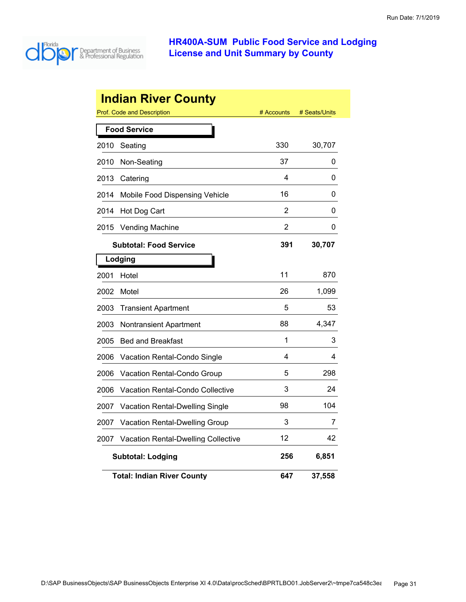

|      | <b>Indian River County</b>                 |            |               |
|------|--------------------------------------------|------------|---------------|
|      | Prof. Code and Description                 | # Accounts | # Seats/Units |
|      | <b>Food Service</b>                        |            |               |
| 2010 | Seating                                    | 330        | 30,707        |
| 2010 | Non-Seating                                | 37         | 0             |
| 2013 | Catering                                   | 4          | 0             |
| 2014 | Mobile Food Dispensing Vehicle             | 16         | 0             |
| 2014 | Hot Dog Cart                               | 2          | 0             |
| 2015 | <b>Vending Machine</b>                     | 2          | 0             |
|      | <b>Subtotal: Food Service</b>              | 391        | 30,707        |
|      | Lodging                                    |            |               |
| 2001 | Hotel                                      | 11         | 870           |
| 2002 | Motel                                      | 26         | 1,099         |
| 2003 | <b>Transient Apartment</b>                 | 5          | 53            |
| 2003 | Nontransient Apartment                     | 88         | 4,347         |
| 2005 | <b>Bed and Breakfast</b>                   | 1          | 3             |
| 2006 | Vacation Rental-Condo Single               | 4          | 4             |
| 2006 | <b>Vacation Rental-Condo Group</b>         | 5          | 298           |
| 2006 | Vacation Rental-Condo Collective           | 3          | 24            |
| 2007 | <b>Vacation Rental-Dwelling Single</b>     | 98         | 104           |
| 2007 | Vacation Rental-Dwelling Group             | 3          | 7             |
| 2007 | <b>Vacation Rental-Dwelling Collective</b> | 12         | 42            |
|      | <b>Subtotal: Lodging</b>                   | 256        | 6,851         |
|      | <b>Total: Indian River County</b>          | 647        | 37,558        |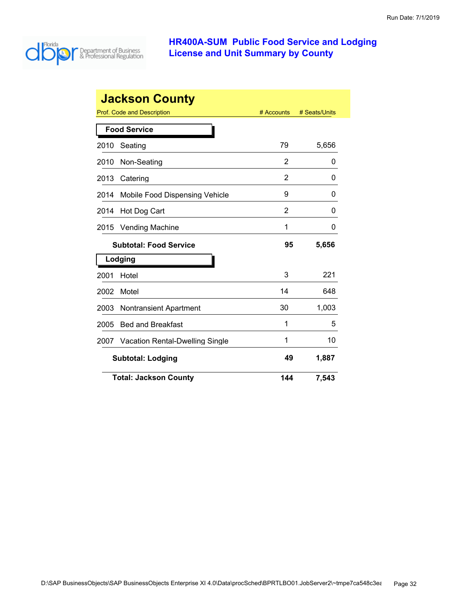

|                          | <b>Jackson County</b>           |            |               |
|--------------------------|---------------------------------|------------|---------------|
|                          | Prof. Code and Description      | # Accounts | # Seats/Units |
|                          | <b>Food Service</b>             |            |               |
| 2010                     | Seating                         | 79         | 5,656         |
| 2010                     | Non-Seating                     | 2          | 0             |
| 2013                     | Catering                        | 2          | 0             |
| 2014                     | Mobile Food Dispensing Vehicle  | 9          | 0             |
| 2014                     | Hot Dog Cart                    | 2          | O             |
| 2015                     | <b>Vending Machine</b>          | 1          | 0             |
|                          | <b>Subtotal: Food Service</b>   | 95         | 5,656         |
|                          | Lodging                         |            |               |
| 2001                     | Hotel                           | 3          | 221           |
| 2002                     | Motel                           | 14         | 648           |
| 2003                     | <b>Nontransient Apartment</b>   | 30         | 1,003         |
| 2005                     | <b>Bed and Breakfast</b>        | 1          | 5             |
| 2007                     | Vacation Rental-Dwelling Single | 1          | 10            |
| <b>Subtotal: Lodging</b> |                                 | 49         | 1,887         |
|                          | <b>Total: Jackson County</b>    | 144        | 7,543         |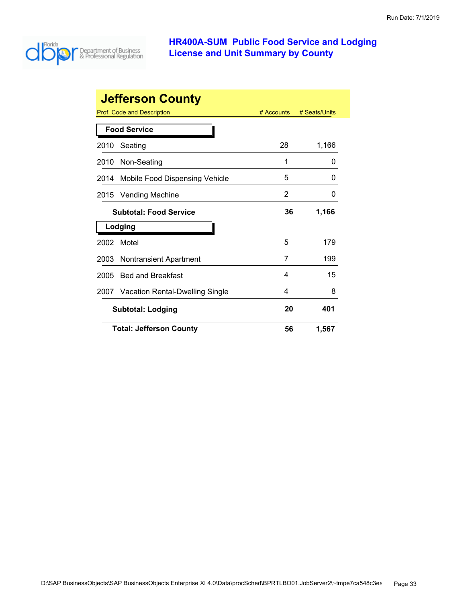

|      | <b>Jefferson County</b>         |            |               |
|------|---------------------------------|------------|---------------|
|      | Prof. Code and Description      | # Accounts | # Seats/Units |
|      | <b>Food Service</b>             |            |               |
| 2010 | Seating                         | 28         | 1,166         |
| 2010 | Non-Seating                     | 1          | 0             |
| 2014 | Mobile Food Dispensing Vehicle  | 5          | $\Omega$      |
| 2015 | <b>Vending Machine</b>          | 2          | 0             |
|      | <b>Subtotal: Food Service</b>   |            | 1,166         |
|      | Lodging                         |            |               |
| 2002 | Motel                           | 5          | 179           |
| 2003 | <b>Nontransient Apartment</b>   | 7          | 199           |
| 2005 | <b>Bed and Breakfast</b>        | 4          | 15            |
| 2007 | Vacation Rental-Dwelling Single | 4          | 8             |
|      | <b>Subtotal: Lodging</b>        | 20         | 401           |
|      | <b>Total: Jefferson County</b>  | 56         | 1,567         |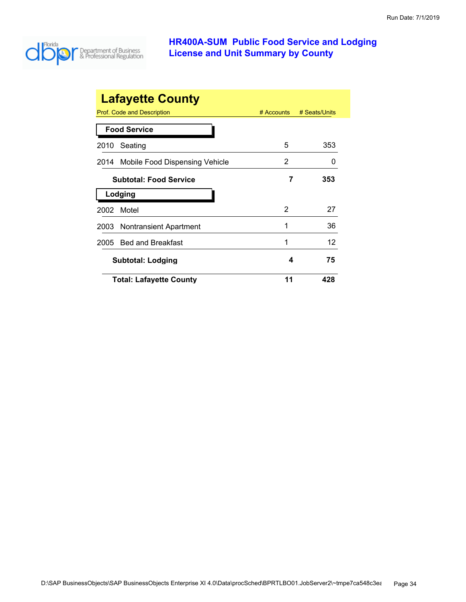

| <b>Lafayette County</b>                |               |               |  |
|----------------------------------------|---------------|---------------|--|
| Prof. Code and Description             | $#$ Accounts  | # Seats/Units |  |
| <b>Food Service</b>                    |               |               |  |
| Seating<br>2010                        | 5             | 353           |  |
| Mobile Food Dispensing Vehicle<br>2014 | 2             |               |  |
| <b>Subtotal: Food Service</b>          | 7             | 353           |  |
| Lodging                                |               |               |  |
| Motel<br>2002                          | $\mathcal{P}$ | 27            |  |
| 2003 Nontransient Apartment            | 1             | 36            |  |
| <b>Bed and Breakfast</b><br>2005       | 1             | 12            |  |
| <b>Subtotal: Lodging</b>               | 4             | 75            |  |
| <b>Total: Lafayette County</b>         | 11            | 428           |  |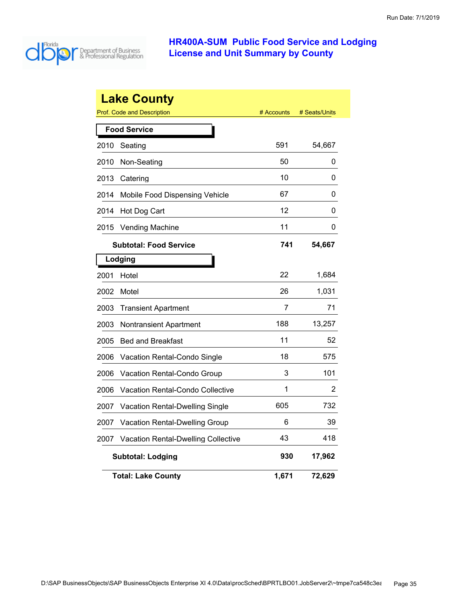

|      | <b>Lake County</b>                         |            |               |
|------|--------------------------------------------|------------|---------------|
|      | <b>Prof. Code and Description</b>          | # Accounts | # Seats/Units |
|      | <b>Food Service</b>                        |            |               |
| 2010 | Seating                                    | 591        | 54,667        |
| 2010 | Non-Seating                                | 50         | 0             |
| 2013 | Catering                                   | 10         | 0             |
| 2014 | Mobile Food Dispensing Vehicle             | 67         | 0             |
| 2014 | Hot Dog Cart                               | 12         | 0             |
| 2015 | <b>Vending Machine</b>                     | 11         | 0             |
|      | <b>Subtotal: Food Service</b>              | 741        | 54,667        |
|      | Lodging                                    |            |               |
| 2001 | Hotel                                      | 22         | 1,684         |
| 2002 | Motel                                      | 26         | 1,031         |
| 2003 | <b>Transient Apartment</b>                 | 7          | 71            |
| 2003 | Nontransient Apartment                     | 188        | 13,257        |
| 2005 | <b>Bed and Breakfast</b>                   | 11         | 52            |
| 2006 | Vacation Rental-Condo Single               | 18         | 575           |
| 2006 | Vacation Rental-Condo Group                | 3          | 101           |
| 2006 | <b>Vacation Rental-Condo Collective</b>    | 1          | 2             |
| 2007 | <b>Vacation Rental-Dwelling Single</b>     | 605        | 732           |
| 2007 | <b>Vacation Rental-Dwelling Group</b>      | 6          | 39            |
| 2007 | <b>Vacation Rental-Dwelling Collective</b> | 43         | 418           |
|      | <b>Subtotal: Lodging</b>                   | 930        | 17,962        |
|      | <b>Total: Lake County</b>                  | 1,671      | 72,629        |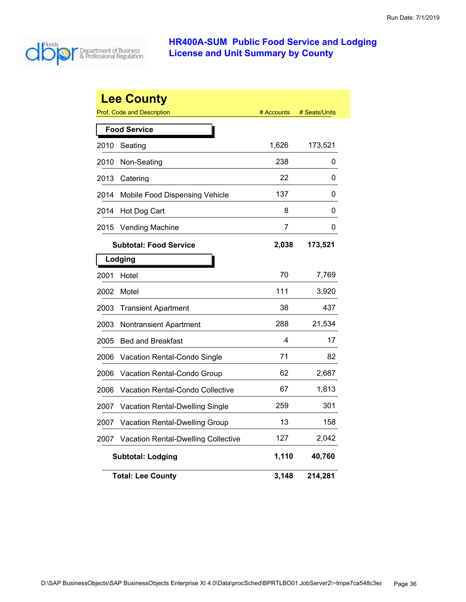

|      | <b>Lee County</b><br><b>Prof. Code and Description</b> | # Accounts     | # Seats/Units |
|------|--------------------------------------------------------|----------------|---------------|
|      | <b>Food Service</b>                                    |                |               |
| 2010 | Seating                                                | 1,626          | 173,521       |
| 2010 | Non-Seating                                            | 238            | 0             |
| 2013 | Catering                                               | 22             | 0             |
| 2014 | Mobile Food Dispensing Vehicle                         | 137            | 0             |
| 2014 | Hot Dog Cart                                           | 8              | 0             |
| 2015 | <b>Vending Machine</b>                                 | $\overline{7}$ | 0             |
|      | <b>Subtotal: Food Service</b>                          | 2,038          | 173,521       |
|      | Lodging                                                |                |               |
| 2001 | Hotel                                                  | 70             | 7,769         |
| 2002 | Motel                                                  | 111            | 3,920         |
| 2003 | <b>Transient Apartment</b>                             | 38             | 437           |
| 2003 | <b>Nontransient Apartment</b>                          | 288            | 21,534        |
| 2005 | <b>Bed and Breakfast</b>                               | 4              | 17            |
| 2006 | Vacation Rental-Condo Single                           | 71             | 82            |
| 2006 | Vacation Rental-Condo Group                            | 62             | 2,687         |
| 2006 | Vacation Rental-Condo Collective                       | 67             | 1,813         |
| 2007 | <b>Vacation Rental-Dwelling Single</b>                 | 259            | 301           |
| 2007 | <b>Vacation Rental-Dwelling Group</b>                  | 13             | 158           |
| 2007 | Vacation Rental-Dwelling Collective                    | 127            | 2,042         |
|      | <b>Subtotal: Lodging</b>                               | 1,110          | 40,760        |
|      | <b>Total: Lee County</b>                               | 3,148          | 214,281       |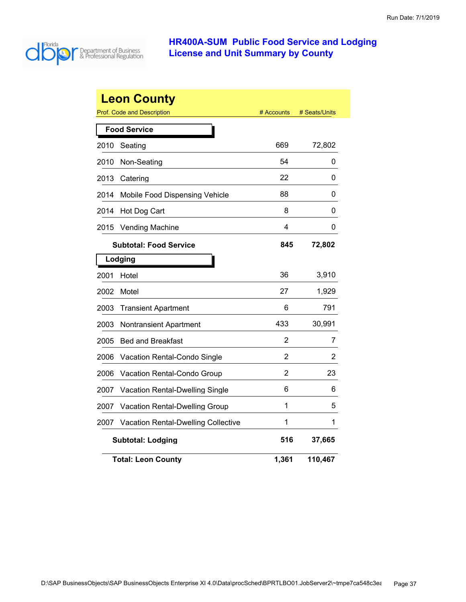

|      | <b>Leon County</b><br>Prof. Code and Description | # Accounts     | # Seats/Units |
|------|--------------------------------------------------|----------------|---------------|
|      | <b>Food Service</b>                              |                |               |
| 2010 | Seating                                          | 669            | 72,802        |
| 2010 | Non-Seating                                      | 54             | 0             |
| 2013 | Catering                                         | 22             | 0             |
| 2014 | Mobile Food Dispensing Vehicle                   | 88             | 0             |
| 2014 | Hot Dog Cart                                     | 8              | 0             |
| 2015 | <b>Vending Machine</b>                           | 4              | 0             |
|      | <b>Subtotal: Food Service</b>                    | 845            | 72,802        |
|      | Lodging                                          |                |               |
| 2001 | Hotel                                            | 36             | 3,910         |
| 2002 | Motel                                            | 27             | 1,929         |
| 2003 | <b>Transient Apartment</b>                       | 6              | 791           |
| 2003 | Nontransient Apartment                           | 433            | 30,991        |
| 2005 | <b>Bed and Breakfast</b>                         | $\overline{2}$ | 7             |
| 2006 | Vacation Rental-Condo Single                     | 2              | 2             |
| 2006 | Vacation Rental-Condo Group                      | 2              | 23            |
| 2007 | Vacation Rental-Dwelling Single                  | 6              | 6             |
| 2007 | <b>Vacation Rental-Dwelling Group</b>            | 1              | 5             |
| 2007 | <b>Vacation Rental-Dwelling Collective</b>       | 1              | 1             |
|      | <b>Subtotal: Lodging</b>                         | 516            | 37,665        |
|      | <b>Total: Leon County</b>                        | 1,361          | 110,467       |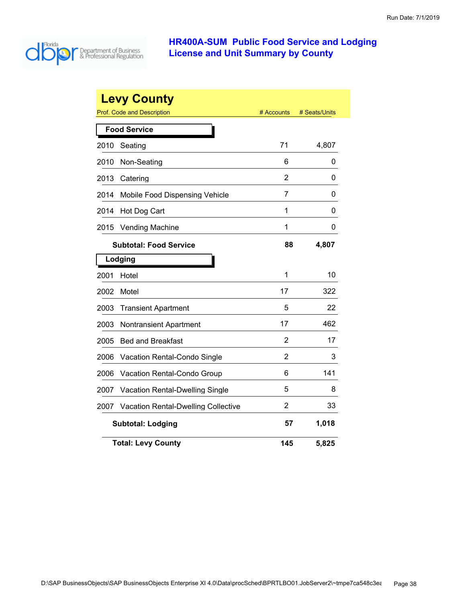

|      | <b>Levy County</b>                     |                |               |
|------|----------------------------------------|----------------|---------------|
|      | <b>Prof. Code and Description</b>      | # Accounts     | # Seats/Units |
|      | <b>Food Service</b>                    |                |               |
| 2010 | Seating                                | 71             | 4,807         |
| 2010 | Non-Seating                            | 6              | 0             |
| 2013 | Catering                               | $\overline{2}$ | 0             |
| 2014 | Mobile Food Dispensing Vehicle         | $\overline{7}$ | 0             |
| 2014 | Hot Dog Cart                           | 1              | 0             |
| 2015 | <b>Vending Machine</b>                 | 1              | 0             |
|      | <b>Subtotal: Food Service</b>          | 88             | 4,807         |
|      | Lodging                                |                |               |
| 2001 | Hotel                                  | 1              | 10            |
| 2002 | Motel                                  | 17             | 322           |
| 2003 | <b>Transient Apartment</b>             | 5              | 22            |
| 2003 | <b>Nontransient Apartment</b>          | 17             | 462           |
| 2005 | <b>Bed and Breakfast</b>               | 2              | 17            |
| 2006 | Vacation Rental-Condo Single           | $\overline{2}$ | 3             |
| 2006 | Vacation Rental-Condo Group            | 6              | 141           |
| 2007 | <b>Vacation Rental-Dwelling Single</b> | 5              | 8             |
| 2007 | Vacation Rental-Dwelling Collective    | 2              | 33            |
|      | <b>Subtotal: Lodging</b>               | 57             | 1,018         |
|      | <b>Total: Levy County</b>              | 145            | 5,825         |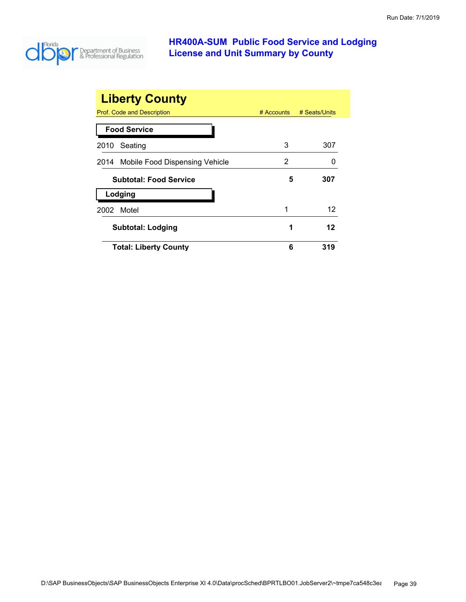

| <b>Liberty County</b>               |              |               |
|-------------------------------------|--------------|---------------|
| Prof. Code and Description          | $#$ Accounts | # Seats/Units |
| <b>Food Service</b>                 |              |               |
| Seating<br>2010                     | 3            | 307           |
| 2014 Mobile Food Dispensing Vehicle | 2            |               |
| <b>Subtotal: Food Service</b>       | 5            | 307           |
| Lodging                             |              |               |
| Motel<br>2002                       | 1            | 12            |
| <b>Subtotal: Lodging</b>            | 1            | 12            |
| <b>Total: Liberty County</b>        | 6            | 319           |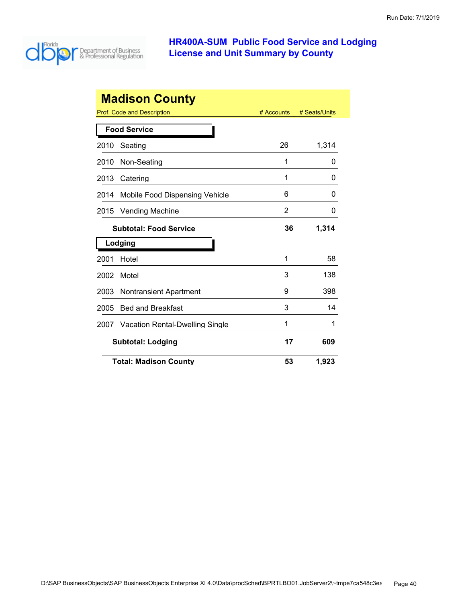

| <b>Madison County</b>                        |                                        |            |               |  |
|----------------------------------------------|----------------------------------------|------------|---------------|--|
| Prof. Code and Description                   |                                        | # Accounts | # Seats/Units |  |
| <b>Food Service</b>                          |                                        |            |               |  |
| Seating<br>2010                              |                                        | 26         | 1,314         |  |
| 2010                                         | Non-Seating                            | 1          | O             |  |
| 2013<br>Catering                             |                                        | 1          | 0             |  |
| 2014                                         | Mobile Food Dispensing Vehicle         | 6          | 0             |  |
| 2015                                         | <b>Vending Machine</b>                 | 2          | 0             |  |
| 1,314<br>36<br><b>Subtotal: Food Service</b> |                                        |            |               |  |
| Lodging                                      |                                        |            |               |  |
| 2001<br>Hotel                                |                                        | 1          | 58            |  |
| 2002<br>Motel                                |                                        | 3          | 138           |  |
| 2003                                         | <b>Nontransient Apartment</b>          | 9          | 398           |  |
| 2005                                         | <b>Bed and Breakfast</b>               | 3          | 14            |  |
| 2007                                         | <b>Vacation Rental-Dwelling Single</b> | 1          | 1             |  |
|                                              | 17<br><b>Subtotal: Lodging</b><br>609  |            |               |  |
|                                              | <b>Total: Madison County</b>           | 53         | 1,923         |  |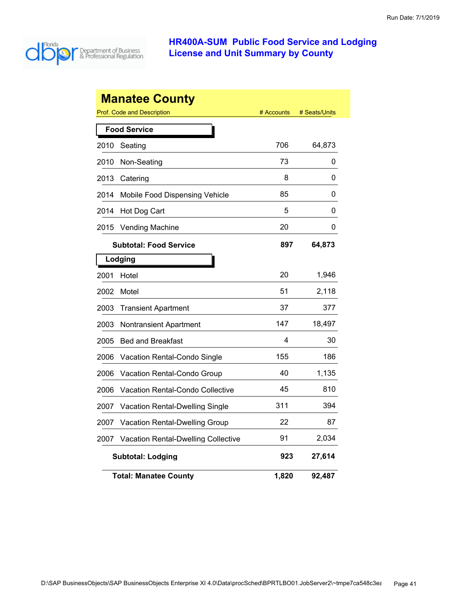

|      | <b>Manatee County</b>                      |            |               |
|------|--------------------------------------------|------------|---------------|
|      | Prof. Code and Description                 | # Accounts | # Seats/Units |
|      | <b>Food Service</b>                        |            |               |
| 2010 | Seating                                    | 706        | 64,873        |
| 2010 | Non-Seating                                | 73         | 0             |
| 2013 | Catering                                   | 8          | 0             |
| 2014 | Mobile Food Dispensing Vehicle             | 85         | 0             |
| 2014 | Hot Dog Cart                               | 5          | 0             |
| 2015 | <b>Vending Machine</b>                     | 20         | 0             |
|      | <b>Subtotal: Food Service</b>              | 897        | 64,873        |
|      | Lodging                                    |            |               |
| 2001 | Hotel                                      | 20         | 1,946         |
| 2002 | Motel                                      | 51         | 2,118         |
| 2003 | <b>Transient Apartment</b>                 | 37         | 377           |
| 2003 | <b>Nontransient Apartment</b>              | 147        | 18,497        |
| 2005 | <b>Bed and Breakfast</b>                   | 4          | 30            |
| 2006 | <b>Vacation Rental-Condo Single</b>        | 155        | 186           |
| 2006 | Vacation Rental-Condo Group                | 40         | 1,135         |
| 2006 | <b>Vacation Rental-Condo Collective</b>    | 45         | 810           |
| 2007 | <b>Vacation Rental-Dwelling Single</b>     | 311        | 394           |
| 2007 | Vacation Rental-Dwelling Group             | 22         | 87            |
| 2007 | <b>Vacation Rental-Dwelling Collective</b> | 91         | 2,034         |
|      | <b>Subtotal: Lodging</b>                   | 923        | 27,614        |
|      | <b>Total: Manatee County</b>               | 1,820      | 92,487        |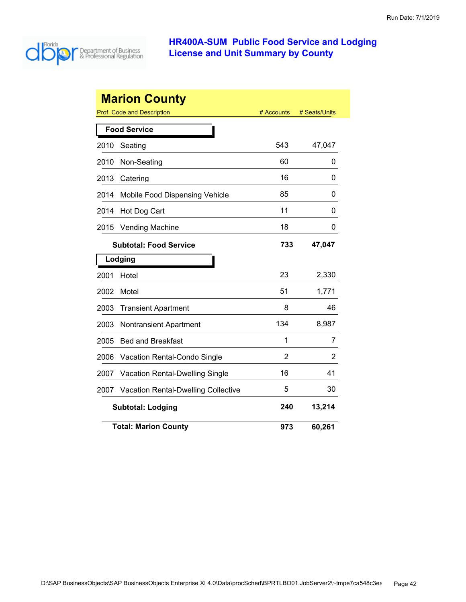

|      | <b>Marion County</b>                       |            |               |
|------|--------------------------------------------|------------|---------------|
|      | Prof. Code and Description                 | # Accounts | # Seats/Units |
|      | <b>Food Service</b>                        |            |               |
| 2010 | Seating                                    | 543        | 47,047        |
| 2010 | Non-Seating                                | 60         | 0             |
| 2013 | Catering                                   | 16         | 0             |
| 2014 | Mobile Food Dispensing Vehicle             | 85         | 0             |
| 2014 | Hot Dog Cart                               | 11         | 0             |
| 2015 | <b>Vending Machine</b>                     | 18         | 0             |
|      | <b>Subtotal: Food Service</b>              | 733        | 47,047        |
|      | Lodging                                    |            |               |
| 2001 | Hotel                                      | 23         | 2,330         |
| 2002 | Motel                                      | 51         | 1,771         |
| 2003 | <b>Transient Apartment</b>                 | 8          | 46            |
| 2003 | <b>Nontransient Apartment</b>              | 134        | 8,987         |
| 2005 | <b>Bed and Breakfast</b>                   | 1          | 7             |
| 2006 | Vacation Rental-Condo Single               | 2          | 2             |
| 2007 | Vacation Rental-Dwelling Single            | 16         | 41            |
| 2007 | <b>Vacation Rental-Dwelling Collective</b> | 5          | 30            |
|      | <b>Subtotal: Lodging</b>                   | 240        | 13,214        |
|      | <b>Total: Marion County</b>                | 973        | 60,261        |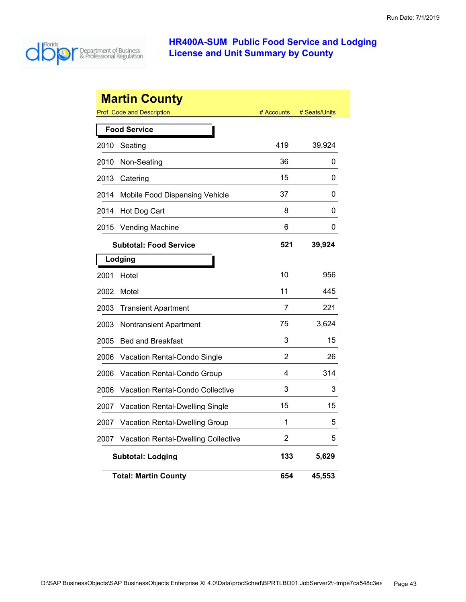

|      | <b>Martin County</b><br><b>Prof. Code and Description</b> | # Accounts | # Seats/Units |
|------|-----------------------------------------------------------|------------|---------------|
|      | <b>Food Service</b>                                       |            |               |
| 2010 | Seating                                                   | 419        | 39,924        |
| 2010 | Non-Seating                                               | 36         | 0             |
| 2013 | Catering                                                  | 15         | 0             |
| 2014 | Mobile Food Dispensing Vehicle                            | 37         | 0             |
| 2014 |                                                           | 8          | 0             |
|      | Hot Dog Cart                                              | 6          |               |
| 2015 | <b>Vending Machine</b>                                    |            | 0             |
|      | <b>Subtotal: Food Service</b>                             | 521        | 39,924        |
|      | Lodging                                                   |            |               |
| 2001 | Hotel                                                     | 10         | 956           |
| 2002 | Motel                                                     | 11         | 445           |
| 2003 | <b>Transient Apartment</b>                                | 7          | 221           |
| 2003 | Nontransient Apartment                                    | 75         | 3,624         |
| 2005 | <b>Bed and Breakfast</b>                                  | 3          | 15            |
| 2006 | Vacation Rental-Condo Single                              | 2          | 26            |
| 2006 | Vacation Rental-Condo Group                               | 4          | 314           |
| 2006 | Vacation Rental-Condo Collective                          | 3          | 3             |
| 2007 | Vacation Rental-Dwelling Single                           | 15         | 15            |
| 2007 | Vacation Rental-Dwelling Group                            | 1          | 5             |
| 2007 | Vacation Rental-Dwelling Collective                       | 2          | 5             |
|      | <b>Subtotal: Lodging</b>                                  | 133        | 5,629         |
|      | <b>Total: Martin County</b>                               | 654        | 45,553        |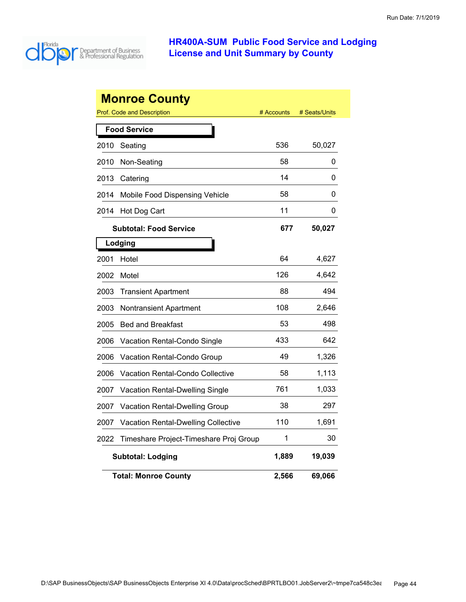

|      | <b>Monroe County</b>                       |            |               |
|------|--------------------------------------------|------------|---------------|
|      | <b>Prof. Code and Description</b>          | # Accounts | # Seats/Units |
|      | <b>Food Service</b>                        |            |               |
| 2010 | Seating                                    | 536        | 50,027        |
| 2010 | Non-Seating                                | 58         | 0             |
| 2013 | Catering                                   | 14         | 0             |
| 2014 | Mobile Food Dispensing Vehicle             | 58         | O             |
| 2014 | Hot Dog Cart                               | 11         | 0             |
|      | <b>Subtotal: Food Service</b>              | 677        | 50,027        |
|      | Lodging                                    |            |               |
| 2001 | Hotel                                      | 64         | 4,627         |
| 2002 | Motel                                      | 126        | 4,642         |
| 2003 | <b>Transient Apartment</b>                 | 88         | 494           |
| 2003 | <b>Nontransient Apartment</b>              | 108        | 2,646         |
| 2005 | <b>Bed and Breakfast</b>                   | 53         | 498           |
| 2006 | Vacation Rental-Condo Single               | 433        | 642           |
| 2006 | Vacation Rental-Condo Group                | 49         | 1,326         |
| 2006 | <b>Vacation Rental-Condo Collective</b>    | 58         | 1,113         |
| 2007 | Vacation Rental-Dwelling Single            | 761        | 1,033         |
| 2007 | <b>Vacation Rental-Dwelling Group</b>      | 38         | 297           |
| 2007 | <b>Vacation Rental-Dwelling Collective</b> | 110        | 1,691         |
| 2022 | Timeshare Project-Timeshare Proj Group     | 1          | 30            |
|      | <b>Subtotal: Lodging</b>                   | 1,889      | 19,039        |
|      | <b>Total: Monroe County</b>                | 2,566      | 69,066        |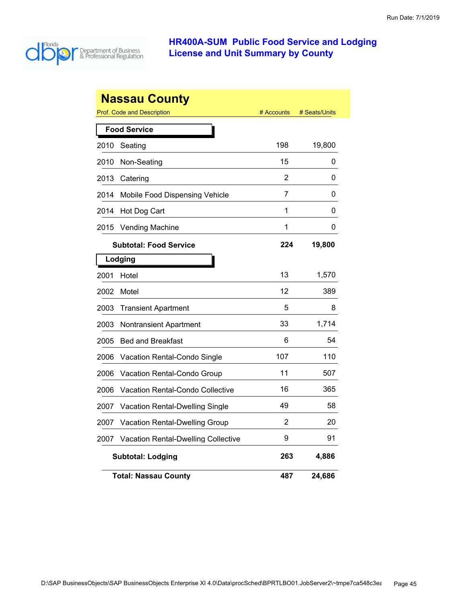

|      | <b>Nassau County</b>                              |            |               |
|------|---------------------------------------------------|------------|---------------|
|      | Prof. Code and Description<br><b>Food Service</b> | # Accounts | # Seats/Units |
|      |                                                   |            |               |
| 2010 | Seating                                           | 198        | 19,800        |
| 2010 | Non-Seating                                       | 15         | 0             |
| 2013 | Catering                                          | 2          | 0             |
| 2014 | Mobile Food Dispensing Vehicle                    | 7          | 0             |
| 2014 | Hot Dog Cart                                      | 1          | 0             |
| 2015 | <b>Vending Machine</b>                            | 1          | 0             |
|      | <b>Subtotal: Food Service</b>                     | 224        | 19,800        |
|      | Lodging                                           |            |               |
| 2001 | Hotel                                             | 13         | 1,570         |
| 2002 | Motel                                             | 12         | 389           |
| 2003 | <b>Transient Apartment</b>                        | 5          | 8             |
| 2003 | Nontransient Apartment                            | 33         | 1,714         |
| 2005 | <b>Bed and Breakfast</b>                          | 6          | 54            |
| 2006 | Vacation Rental-Condo Single                      | 107        | 110           |
| 2006 | Vacation Rental-Condo Group                       | 11         | 507           |
| 2006 | Vacation Rental-Condo Collective                  | 16         | 365           |
| 2007 | Vacation Rental-Dwelling Single                   | 49         | 58            |
| 2007 | Vacation Rental-Dwelling Group                    | 2          | 20            |
| 2007 | <b>Vacation Rental-Dwelling Collective</b>        | 9          | 91            |
|      | <b>Subtotal: Lodging</b>                          | 263        | 4,886         |
|      | <b>Total: Nassau County</b>                       | 487        | 24,686        |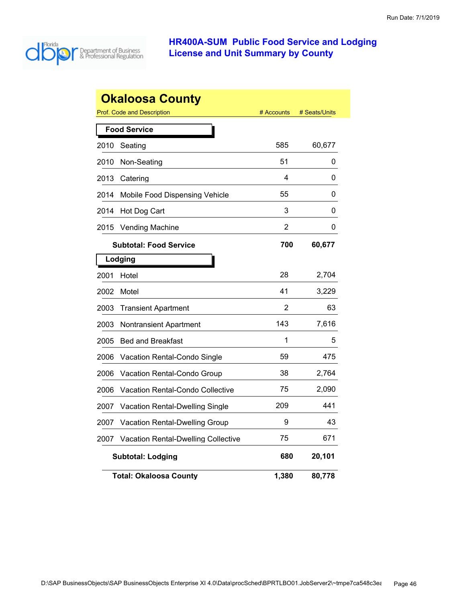

|      | <b>Okaloosa County</b>                     |            |               |
|------|--------------------------------------------|------------|---------------|
|      | <b>Prof. Code and Description</b>          | # Accounts | # Seats/Units |
|      | <b>Food Service</b>                        |            |               |
| 2010 | Seating                                    | 585        | 60,677        |
| 2010 | Non-Seating                                | 51         | 0             |
| 2013 | Catering                                   | 4          | 0             |
| 2014 | Mobile Food Dispensing Vehicle             | 55         | 0             |
| 2014 | Hot Dog Cart                               | 3          | 0             |
| 2015 | <b>Vending Machine</b>                     | 2          | 0             |
|      | <b>Subtotal: Food Service</b>              | 700        | 60,677        |
|      | Lodging                                    |            |               |
| 2001 | Hotel                                      | 28         | 2,704         |
| 2002 | Motel                                      | 41         | 3,229         |
| 2003 | <b>Transient Apartment</b>                 | 2          | 63            |
| 2003 | Nontransient Apartment                     | 143        | 7,616         |
| 2005 | <b>Bed and Breakfast</b>                   | 1          | 5             |
| 2006 | Vacation Rental-Condo Single               | 59         | 475           |
| 2006 | Vacation Rental-Condo Group                | 38         | 2,764         |
| 2006 | Vacation Rental-Condo Collective           | 75         | 2,090         |
| 2007 | Vacation Rental-Dwelling Single            | 209        | 441           |
| 2007 | Vacation Rental-Dwelling Group             | 9          | 43            |
| 2007 | <b>Vacation Rental-Dwelling Collective</b> | 75         | 671           |
|      | <b>Subtotal: Lodging</b>                   | 680        | 20,101        |
|      | <b>Total: Okaloosa County</b>              | 1,380      | 80,778        |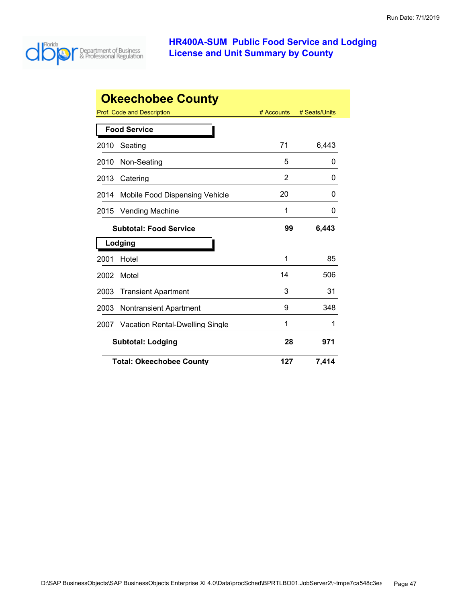

|      | <b>Okeechobee County</b>               |            |               |
|------|----------------------------------------|------------|---------------|
|      | Prof. Code and Description             | # Accounts | # Seats/Units |
|      | <b>Food Service</b>                    |            |               |
| 2010 | Seating                                | 71         | 6,443         |
| 2010 | Non-Seating                            | 5          | O             |
| 2013 | Catering                               | 2          | 0             |
| 2014 | Mobile Food Dispensing Vehicle         | 20         | 0             |
| 2015 | <b>Vending Machine</b>                 | 1          | 0             |
|      | <b>Subtotal: Food Service</b>          | 99         | 6,443         |
|      | Lodging                                |            |               |
| 2001 | Hotel                                  | 1          | 85            |
| 2002 | Motel                                  | 14         | 506           |
| 2003 | <b>Transient Apartment</b>             | 3          | 31            |
| 2003 | <b>Nontransient Apartment</b>          | 9          | 348           |
| 2007 | <b>Vacation Rental-Dwelling Single</b> | 1          | 1             |
|      | <b>Subtotal: Lodging</b>               | 28         | 971           |
|      | <b>Total: Okeechobee County</b>        | 127        | 7,414         |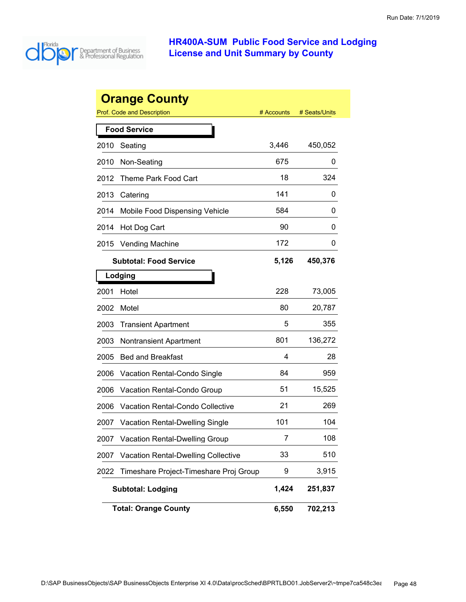

|      | <b>Orange County</b>                       |            |               |
|------|--------------------------------------------|------------|---------------|
|      | <b>Prof. Code and Description</b>          | # Accounts | # Seats/Units |
|      | <b>Food Service</b>                        |            |               |
| 2010 | Seating                                    | 3,446      | 450,052       |
| 2010 | Non-Seating                                | 675        | 0             |
| 2012 | Theme Park Food Cart                       | 18         | 324           |
| 2013 | Catering                                   | 141        | 0             |
| 2014 | Mobile Food Dispensing Vehicle             | 584        | 0             |
| 2014 | Hot Dog Cart                               | 90         | 0             |
| 2015 | <b>Vending Machine</b>                     | 172        | 0             |
|      | <b>Subtotal: Food Service</b>              | 5,126      | 450,376       |
|      | Lodging                                    |            |               |
| 2001 | Hotel                                      | 228        | 73,005        |
| 2002 | Motel                                      | 80         | 20,787        |
| 2003 | <b>Transient Apartment</b>                 | 5          | 355           |
| 2003 | <b>Nontransient Apartment</b>              | 801        | 136,272       |
| 2005 | <b>Bed and Breakfast</b>                   | 4          | 28            |
| 2006 | Vacation Rental-Condo Single               | 84         | 959           |
| 2006 | Vacation Rental-Condo Group                | 51         | 15,525        |
| 2006 | Vacation Rental-Condo Collective           | 21         | 269           |
| 2007 | <b>Vacation Rental-Dwelling Single</b>     | 101        | 104           |
| 2007 | <b>Vacation Rental-Dwelling Group</b>      | 7          | 108           |
| 2007 | <b>Vacation Rental-Dwelling Collective</b> | 33         | 510           |
| 2022 | Timeshare Project-Timeshare Proj Group     | 9          | 3,915         |
|      | <b>Subtotal: Lodging</b>                   | 1,424      | 251,837       |
|      | <b>Total: Orange County</b>                | 6,550      | 702,213       |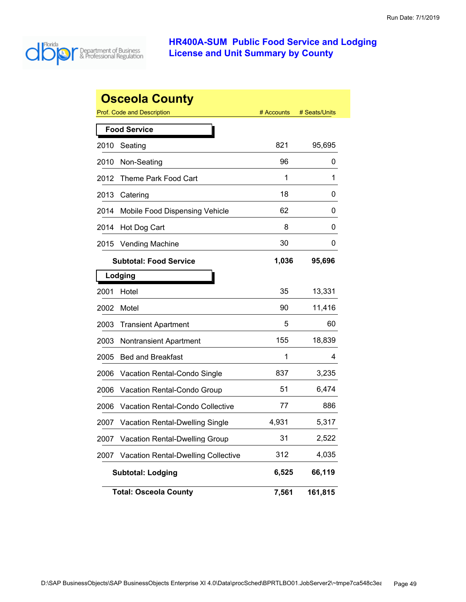

|      | <b>Osceola County</b>                      |            |               |
|------|--------------------------------------------|------------|---------------|
|      | <b>Prof. Code and Description</b>          | # Accounts | # Seats/Units |
|      | <b>Food Service</b>                        |            |               |
| 2010 | Seating                                    | 821        | 95,695        |
| 2010 | Non-Seating                                | 96         | 0             |
| 2012 | Theme Park Food Cart                       | 1          | 1             |
| 2013 | Catering                                   | 18         | 0             |
| 2014 | Mobile Food Dispensing Vehicle             | 62         | 0             |
| 2014 | Hot Dog Cart                               | 8          | 0             |
| 2015 | <b>Vending Machine</b>                     | 30         | 0             |
|      | <b>Subtotal: Food Service</b>              | 1,036      | 95,696        |
|      | Lodging                                    |            |               |
| 2001 | Hotel                                      | 35         | 13,331        |
| 2002 | Motel                                      | 90         | 11,416        |
| 2003 | <b>Transient Apartment</b>                 | 5          | 60            |
| 2003 | Nontransient Apartment                     | 155        | 18,839        |
| 2005 | <b>Bed and Breakfast</b>                   | 1          | 4             |
| 2006 | Vacation Rental-Condo Single               | 837        | 3,235         |
| 2006 | Vacation Rental-Condo Group                | 51         | 6,474         |
| 2006 | Vacation Rental-Condo Collective           | 77         | 886           |
| 2007 | <b>Vacation Rental-Dwelling Single</b>     | 4,931      | 5,317         |
| 2007 | <b>Vacation Rental-Dwelling Group</b>      | 31         | 2,522         |
| 2007 | <b>Vacation Rental-Dwelling Collective</b> | 312        | 4,035         |
|      | <b>Subtotal: Lodging</b>                   | 6,525      | 66,119        |
|      | <b>Total: Osceola County</b>               | 7,561      | 161,815       |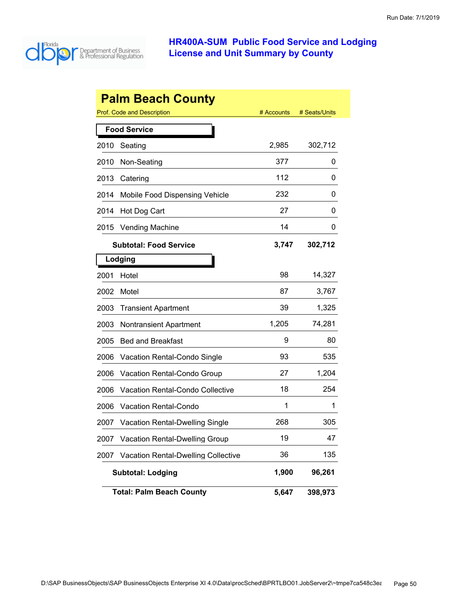

|      | <b>Palm Beach County</b>                   |            |               |
|------|--------------------------------------------|------------|---------------|
|      | Prof. Code and Description                 | # Accounts | # Seats/Units |
|      | <b>Food Service</b>                        |            |               |
| 2010 | Seating                                    | 2,985      | 302,712       |
| 2010 | Non-Seating                                | 377        | 0             |
| 2013 | Catering                                   | 112        | 0             |
| 2014 | Mobile Food Dispensing Vehicle             | 232        | 0             |
| 2014 | Hot Dog Cart                               | 27         | 0             |
| 2015 | <b>Vending Machine</b>                     | 14         | 0             |
|      | <b>Subtotal: Food Service</b>              | 3,747      | 302,712       |
|      | Lodging                                    |            |               |
| 2001 | Hotel                                      | 98         | 14,327        |
| 2002 | Motel                                      | 87         | 3,767         |
| 2003 | <b>Transient Apartment</b>                 | 39         | 1,325         |
| 2003 | <b>Nontransient Apartment</b>              | 1,205      | 74,281        |
| 2005 | <b>Bed and Breakfast</b>                   | 9          | 80            |
| 2006 | Vacation Rental-Condo Single               | 93         | 535           |
| 2006 | Vacation Rental-Condo Group                | 27         | 1,204         |
| 2006 | Vacation Rental-Condo Collective           | 18         | 254           |
| 2006 | <b>Vacation Rental-Condo</b>               | 1          | 1             |
| 2007 | <b>Vacation Rental-Dwelling Single</b>     | 268        | 305           |
| 2007 | <b>Vacation Rental-Dwelling Group</b>      | 19         | 47            |
| 2007 | <b>Vacation Rental-Dwelling Collective</b> | 36         | 135           |
|      | <b>Subtotal: Lodging</b>                   | 1,900      | 96,261        |
|      | <b>Total: Palm Beach County</b>            | 5,647      | 398,973       |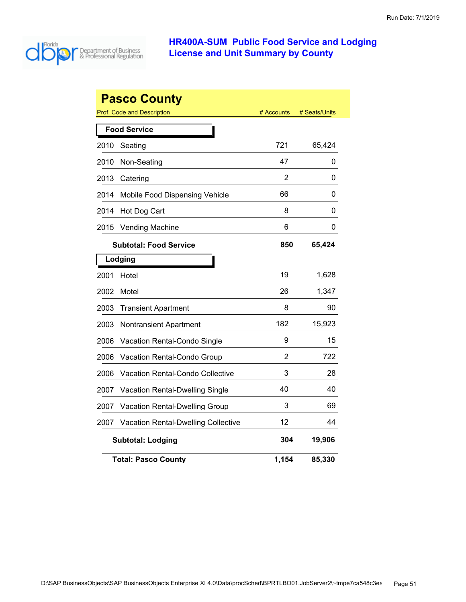

|      | <b>Pasco County</b><br>Prof. Code and Description | # Accounts | # Seats/Units |  |  |
|------|---------------------------------------------------|------------|---------------|--|--|
|      |                                                   |            |               |  |  |
|      | <b>Food Service</b>                               |            |               |  |  |
| 2010 | Seating                                           | 721        | 65,424        |  |  |
| 2010 | Non-Seating                                       | 47         | 0             |  |  |
| 2013 | Catering                                          | 2          | 0             |  |  |
| 2014 | Mobile Food Dispensing Vehicle                    | 66         | 0             |  |  |
| 2014 | Hot Dog Cart                                      | 8          | 0             |  |  |
| 2015 | <b>Vending Machine</b>                            | 6          | 0             |  |  |
|      | <b>Subtotal: Food Service</b>                     | 850        | 65,424        |  |  |
|      | Lodging                                           |            |               |  |  |
| 2001 | Hotel                                             | 19         | 1,628         |  |  |
| 2002 | Motel                                             | 26         | 1,347         |  |  |
| 2003 | <b>Transient Apartment</b>                        | 8          | 90            |  |  |
| 2003 | Nontransient Apartment                            | 182        | 15,923        |  |  |
| 2006 | Vacation Rental-Condo Single                      | 9          | 15            |  |  |
| 2006 | Vacation Rental-Condo Group                       | 2          | 722           |  |  |
| 2006 | <b>Vacation Rental-Condo Collective</b>           | 3          | 28            |  |  |
| 2007 | Vacation Rental-Dwelling Single                   | 40         | 40            |  |  |
| 2007 | Vacation Rental-Dwelling Group                    | 3          | 69            |  |  |
| 2007 | <b>Vacation Rental-Dwelling Collective</b>        | 12         | 44            |  |  |
|      | <b>Subtotal: Lodging</b>                          | 304        | 19,906        |  |  |
|      | <b>Total: Pasco County</b>                        | 1,154      | 85,330        |  |  |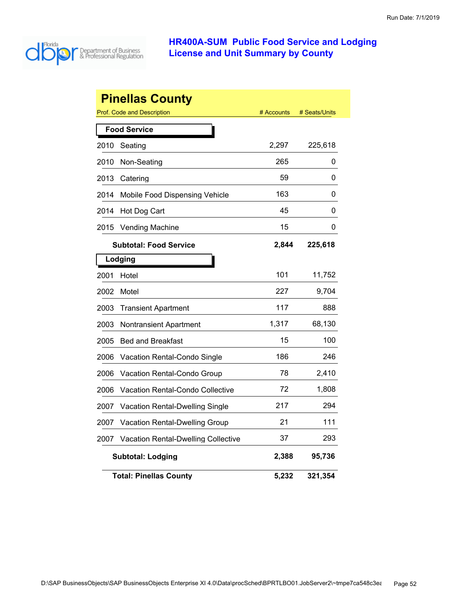

|      | <b>Pinellas County</b>                     |            |               |
|------|--------------------------------------------|------------|---------------|
|      | <b>Prof. Code and Description</b>          | # Accounts | # Seats/Units |
|      | <b>Food Service</b>                        |            |               |
| 2010 | Seating                                    | 2,297      | 225,618       |
| 2010 | Non-Seating                                | 265        | 0             |
| 2013 | Catering                                   | 59         | 0             |
| 2014 | Mobile Food Dispensing Vehicle             | 163        | 0             |
| 2014 | Hot Dog Cart                               | 45         | 0             |
| 2015 | <b>Vending Machine</b>                     | 15         | 0             |
|      | <b>Subtotal: Food Service</b>              | 2,844      | 225,618       |
|      | Lodging                                    |            |               |
| 2001 | Hotel                                      | 101        | 11,752        |
| 2002 | Motel                                      | 227        | 9,704         |
| 2003 | <b>Transient Apartment</b>                 | 117        | 888           |
| 2003 | <b>Nontransient Apartment</b>              | 1,317      | 68,130        |
| 2005 | <b>Bed and Breakfast</b>                   | 15         | 100           |
| 2006 | <b>Vacation Rental-Condo Single</b>        | 186        | 246           |
| 2006 | Vacation Rental-Condo Group                | 78         | 2,410         |
| 2006 | <b>Vacation Rental-Condo Collective</b>    | 72         | 1,808         |
| 2007 | <b>Vacation Rental-Dwelling Single</b>     | 217        | 294           |
| 2007 | Vacation Rental-Dwelling Group             | 21         | 111           |
| 2007 | <b>Vacation Rental-Dwelling Collective</b> | 37         | 293           |
|      | <b>Subtotal: Lodging</b>                   | 2,388      | 95,736        |
|      | <b>Total: Pinellas County</b>              | 5,232      | 321,354       |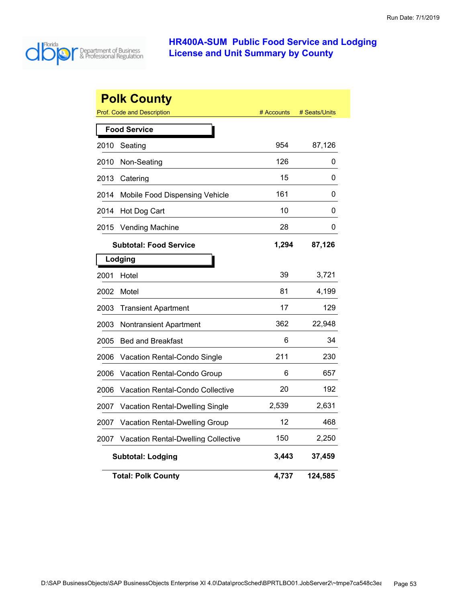

|      | <b>Polk County</b>                      |            |               |
|------|-----------------------------------------|------------|---------------|
|      | <b>Prof. Code and Description</b>       | # Accounts | # Seats/Units |
|      | <b>Food Service</b>                     |            |               |
| 2010 | Seating                                 | 954        | 87,126        |
| 2010 | Non-Seating                             | 126        | 0             |
| 2013 | Catering                                | 15         | 0             |
| 2014 | Mobile Food Dispensing Vehicle          | 161        | 0             |
| 2014 | Hot Dog Cart                            | 10         | 0             |
| 2015 | <b>Vending Machine</b>                  | 28         | 0             |
|      | <b>Subtotal: Food Service</b>           | 1,294      | 87,126        |
|      | Lodging                                 |            |               |
| 2001 | Hotel                                   | 39         | 3,721         |
| 2002 | Motel                                   | 81         | 4,199         |
| 2003 | <b>Transient Apartment</b>              | 17         | 129           |
| 2003 | Nontransient Apartment                  | 362        | 22,948        |
| 2005 | <b>Bed and Breakfast</b>                | 6          | 34            |
| 2006 | Vacation Rental-Condo Single            | 211        | 230           |
| 2006 | Vacation Rental-Condo Group             | 6          | 657           |
| 2006 | <b>Vacation Rental-Condo Collective</b> | 20         | 192           |
| 2007 | <b>Vacation Rental-Dwelling Single</b>  | 2,539      | 2,631         |
| 2007 | <b>Vacation Rental-Dwelling Group</b>   | 12         | 468           |
| 2007 | Vacation Rental-Dwelling Collective     | 150        | 2,250         |
|      | <b>Subtotal: Lodging</b>                | 3,443      | 37,459        |
|      | <b>Total: Polk County</b>               | 4,737      | 124,585       |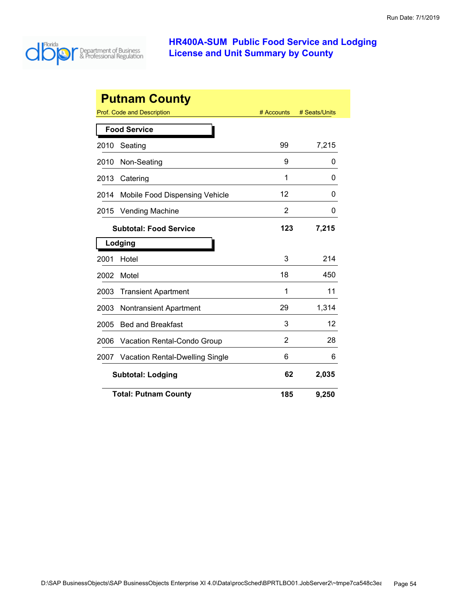

| <b>Putnam County</b>                    |                                        |            |               |  |
|-----------------------------------------|----------------------------------------|------------|---------------|--|
|                                         | Prof. Code and Description             | # Accounts | # Seats/Units |  |
|                                         | <b>Food Service</b>                    |            |               |  |
| 2010                                    | Seating                                | 99         | 7,215         |  |
| 2010                                    | Non-Seating                            | 9          | 0             |  |
| 2013                                    | Catering                               | 1          | 0             |  |
| 2014                                    | Mobile Food Dispensing Vehicle         | 12         | 0             |  |
| 2015                                    | <b>Vending Machine</b>                 | 2          | 0             |  |
|                                         | <b>Subtotal: Food Service</b>          | 123        | 7,215         |  |
|                                         | Lodging                                |            |               |  |
| 2001                                    | Hotel                                  | 3          | 214           |  |
| 2002                                    | Motel                                  | 18         | 450           |  |
| 2003                                    | <b>Transient Apartment</b>             | 1          | 11            |  |
| 2003                                    | <b>Nontransient Apartment</b>          | 29         | 1,314         |  |
| 2005                                    | <b>Bed and Breakfast</b>               | 3          | 12            |  |
| 2006                                    | <b>Vacation Rental-Condo Group</b>     | 2          | 28            |  |
| 2007                                    | <b>Vacation Rental-Dwelling Single</b> | 6          | 6             |  |
| 62<br>2,035<br><b>Subtotal: Lodging</b> |                                        |            |               |  |
|                                         | <b>Total: Putnam County</b>            | 185        | 9,250         |  |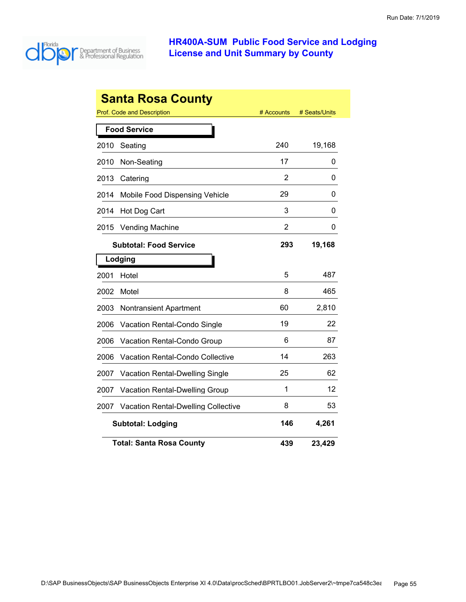

| <b>Santa Rosa County</b> |                                            |            |               |  |  |
|--------------------------|--------------------------------------------|------------|---------------|--|--|
|                          | <b>Prof. Code and Description</b>          | # Accounts | # Seats/Units |  |  |
|                          | <b>Food Service</b>                        |            |               |  |  |
| 2010                     | Seating                                    | 240        | 19,168        |  |  |
| 2010                     | Non-Seating                                | 17         | 0             |  |  |
| 2013                     | Catering                                   | 2          | 0             |  |  |
| 2014                     | Mobile Food Dispensing Vehicle             | 29         | 0             |  |  |
| 2014                     | Hot Dog Cart                               | 3          | 0             |  |  |
| 2015                     | <b>Vending Machine</b>                     | 2          | 0             |  |  |
|                          | <b>Subtotal: Food Service</b>              | 293        | 19,168        |  |  |
|                          | Lodging                                    |            |               |  |  |
| 2001                     | Hotel                                      | 5          | 487           |  |  |
| 2002                     | Motel                                      | 8          | 465           |  |  |
| 2003                     | <b>Nontransient Apartment</b>              | 60         | 2,810         |  |  |
| 2006                     | Vacation Rental-Condo Single               | 19         | 22            |  |  |
| 2006                     | Vacation Rental-Condo Group                | 6          | 87            |  |  |
| 2006                     | <b>Vacation Rental-Condo Collective</b>    | 14         | 263           |  |  |
| 2007                     | Vacation Rental-Dwelling Single            | 25         | 62            |  |  |
| 2007                     | Vacation Rental-Dwelling Group             | 1          | 12            |  |  |
| 2007                     | <b>Vacation Rental-Dwelling Collective</b> | 8          | 53            |  |  |
|                          | <b>Subtotal: Lodging</b>                   | 146        | 4,261         |  |  |
|                          | <b>Total: Santa Rosa County</b>            | 439        | 23,429        |  |  |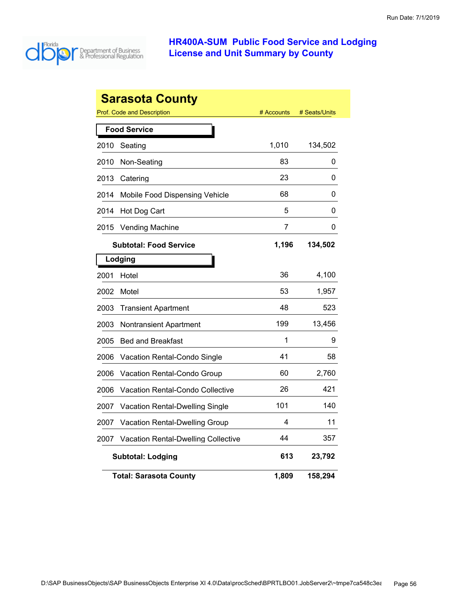

|      | Sarasota County                            |            |               |
|------|--------------------------------------------|------------|---------------|
|      | <b>Prof. Code and Description</b>          | # Accounts | # Seats/Units |
|      | <b>Food Service</b>                        |            |               |
| 2010 | Seating                                    | 1,010      | 134,502       |
| 2010 | Non-Seating                                | 83         | 0             |
| 2013 | Catering                                   | 23         | 0             |
| 2014 | Mobile Food Dispensing Vehicle             | 68         | 0             |
| 2014 | Hot Dog Cart                               | 5          | 0             |
| 2015 | <b>Vending Machine</b>                     | 7          | 0             |
|      | <b>Subtotal: Food Service</b>              | 1,196      | 134,502       |
|      | Lodging                                    |            |               |
| 2001 | Hotel                                      | 36         | 4,100         |
| 2002 | Motel                                      | 53         | 1,957         |
| 2003 | <b>Transient Apartment</b>                 | 48         | 523           |
| 2003 | Nontransient Apartment                     | 199        | 13,456        |
| 2005 | <b>Bed and Breakfast</b>                   | 1          | 9             |
| 2006 | Vacation Rental-Condo Single               | 41         | 58            |
| 2006 | Vacation Rental-Condo Group                | 60         | 2,760         |
| 2006 | Vacation Rental-Condo Collective           | 26         | 421           |
| 2007 | Vacation Rental-Dwelling Single            | 101        | 140           |
| 2007 | Vacation Rental-Dwelling Group             | 4          | 11            |
| 2007 | <b>Vacation Rental-Dwelling Collective</b> | 44         | 357           |
|      | <b>Subtotal: Lodging</b>                   | 613        | 23,792        |
|      | <b>Total: Sarasota County</b>              | 1,809      | 158,294       |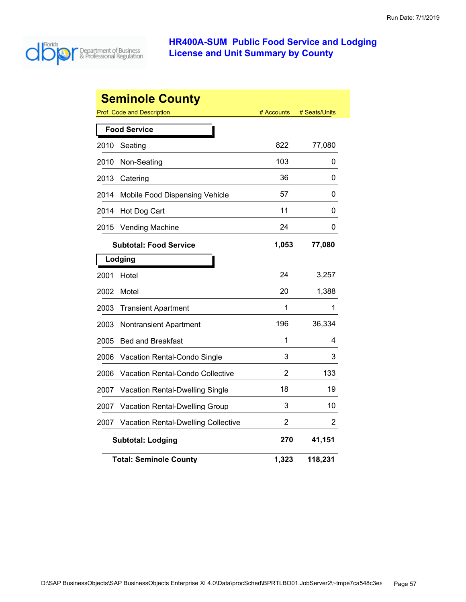

|      | <b>Seminole County</b>                     |                |               |
|------|--------------------------------------------|----------------|---------------|
|      | Prof. Code and Description                 | # Accounts     | # Seats/Units |
|      | <b>Food Service</b>                        |                |               |
| 2010 | Seating                                    | 822            | 77,080        |
| 2010 | Non-Seating                                | 103            | 0             |
| 2013 | Catering                                   | 36             | 0             |
| 2014 | Mobile Food Dispensing Vehicle             | 57             | 0             |
| 2014 | Hot Dog Cart                               | 11             | 0             |
| 2015 | <b>Vending Machine</b>                     | 24             | 0             |
|      | <b>Subtotal: Food Service</b>              | 1,053          | 77,080        |
|      | Lodging                                    |                |               |
| 2001 | Hotel                                      | 24             | 3,257         |
| 2002 | Motel                                      | 20             | 1,388         |
| 2003 | <b>Transient Apartment</b>                 | 1              | 1             |
| 2003 | Nontransient Apartment                     | 196            | 36,334        |
| 2005 | <b>Bed and Breakfast</b>                   | 1              | 4             |
| 2006 | Vacation Rental-Condo Single               | 3              | 3             |
| 2006 | Vacation Rental-Condo Collective           | 2              | 133           |
| 2007 | Vacation Rental-Dwelling Single            | 18             | 19            |
| 2007 | Vacation Rental-Dwelling Group             | 3              | 10            |
| 2007 | <b>Vacation Rental-Dwelling Collective</b> | $\overline{2}$ | 2             |
|      | <b>Subtotal: Lodging</b>                   | 270            | 41,151        |
|      | <b>Total: Seminole County</b>              | 1,323          | 118,231       |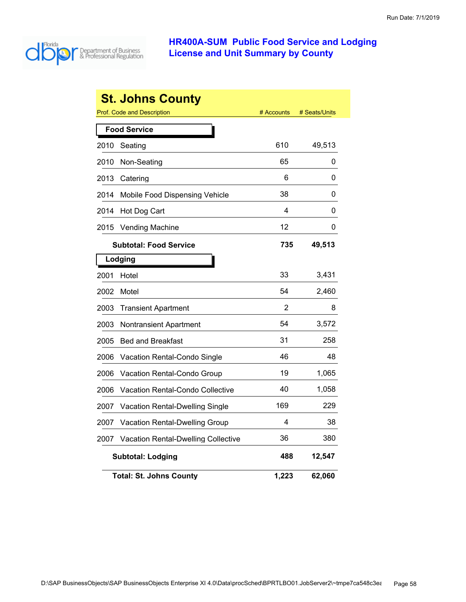

|      | <b>St. Johns County</b>                    |            |               |
|------|--------------------------------------------|------------|---------------|
|      | <b>Prof. Code and Description</b>          | # Accounts | # Seats/Units |
|      | <b>Food Service</b>                        |            |               |
| 2010 | Seating                                    | 610        | 49,513        |
| 2010 | Non-Seating                                | 65         | 0             |
| 2013 | Catering                                   | 6          | 0             |
| 2014 | Mobile Food Dispensing Vehicle             | 38         | 0             |
| 2014 | Hot Dog Cart                               | 4          | 0             |
| 2015 | <b>Vending Machine</b>                     | 12         | 0             |
|      | <b>Subtotal: Food Service</b>              | 735        | 49,513        |
|      | Lodging                                    |            |               |
| 2001 | Hotel                                      | 33         | 3,431         |
| 2002 | Motel                                      | 54         | 2,460         |
| 2003 | <b>Transient Apartment</b>                 | 2          | 8             |
| 2003 | Nontransient Apartment                     | 54         | 3,572         |
| 2005 | <b>Bed and Breakfast</b>                   | 31         | 258           |
| 2006 | Vacation Rental-Condo Single               | 46         | 48            |
| 2006 | Vacation Rental-Condo Group                | 19         | 1,065         |
| 2006 | <b>Vacation Rental-Condo Collective</b>    | 40         | 1,058         |
| 2007 | <b>Vacation Rental-Dwelling Single</b>     | 169        | 229           |
| 2007 | Vacation Rental-Dwelling Group             | 4          | 38            |
| 2007 | <b>Vacation Rental-Dwelling Collective</b> | 36         | 380           |
|      | <b>Subtotal: Lodging</b>                   | 488        | 12,547        |
|      | <b>Total: St. Johns County</b>             | 1,223      | 62,060        |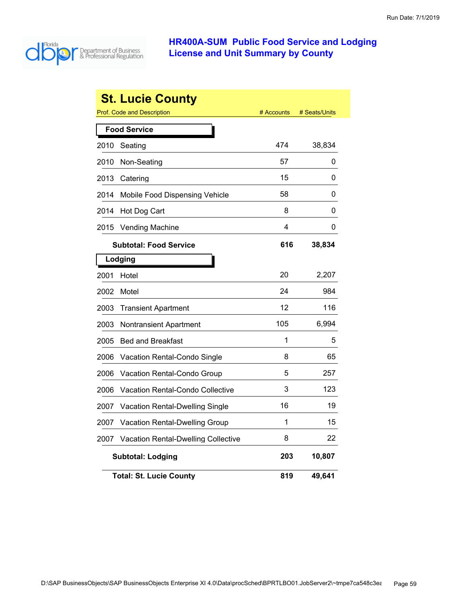

|      | <b>St. Lucie County</b>                    |            |               |
|------|--------------------------------------------|------------|---------------|
|      | <b>Prof. Code and Description</b>          | # Accounts | # Seats/Units |
|      | <b>Food Service</b>                        |            |               |
| 2010 | Seating                                    | 474        | 38,834        |
| 2010 | Non-Seating                                | 57         | 0             |
| 2013 | Catering                                   | 15         | 0             |
| 2014 | Mobile Food Dispensing Vehicle             | 58         | 0             |
| 2014 | Hot Dog Cart                               | 8          | 0             |
| 2015 | <b>Vending Machine</b>                     | 4          | 0             |
|      | <b>Subtotal: Food Service</b>              | 616        | 38,834        |
|      | Lodging                                    |            |               |
| 2001 | Hotel                                      | 20         | 2,207         |
| 2002 | Motel                                      | 24         | 984           |
| 2003 | <b>Transient Apartment</b>                 | 12         | 116           |
| 2003 | Nontransient Apartment                     | 105        | 6,994         |
| 2005 | <b>Bed and Breakfast</b>                   | 1          | 5             |
| 2006 | <b>Vacation Rental-Condo Single</b>        | 8          | 65            |
| 2006 | Vacation Rental-Condo Group                | 5          | 257           |
| 2006 | Vacation Rental-Condo Collective           | 3          | 123           |
| 2007 | <b>Vacation Rental-Dwelling Single</b>     | 16         | 19            |
| 2007 | Vacation Rental-Dwelling Group             | 1          | 15            |
| 2007 | <b>Vacation Rental-Dwelling Collective</b> | 8          | 22            |
|      | <b>Subtotal: Lodging</b>                   | 203        | 10,807        |
|      | <b>Total: St. Lucie County</b>             | 819        | 49,641        |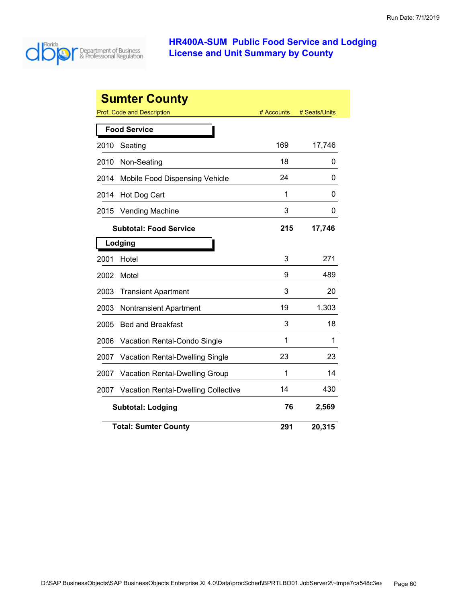

|      | <b>Sumter County</b>                   |            |               |
|------|----------------------------------------|------------|---------------|
|      | Prof. Code and Description             | # Accounts | # Seats/Units |
|      | <b>Food Service</b>                    |            |               |
| 2010 | Seating                                | 169        | 17,746        |
| 2010 | Non-Seating                            | 18         | 0             |
| 2014 | Mobile Food Dispensing Vehicle         | 24         | 0             |
| 2014 | Hot Dog Cart                           | 1          | 0             |
| 2015 | <b>Vending Machine</b>                 | 3          | 0             |
|      | <b>Subtotal: Food Service</b>          | 215        | 17,746        |
|      | Lodging                                |            |               |
| 2001 | Hotel                                  | 3          | 271           |
| 2002 | Motel                                  | 9          | 489           |
| 2003 | <b>Transient Apartment</b>             | 3          | 20            |
| 2003 | <b>Nontransient Apartment</b>          | 19         | 1,303         |
| 2005 | <b>Bed and Breakfast</b>               | 3          | 18            |
| 2006 | Vacation Rental-Condo Single           | 1          | 1             |
| 2007 | <b>Vacation Rental-Dwelling Single</b> | 23         | 23            |
| 2007 | Vacation Rental-Dwelling Group         | 1          | 14            |
| 2007 | Vacation Rental-Dwelling Collective    | 14         | 430           |
|      | <b>Subtotal: Lodging</b>               | 76         | 2,569         |
|      | <b>Total: Sumter County</b>            | 291        | 20,315        |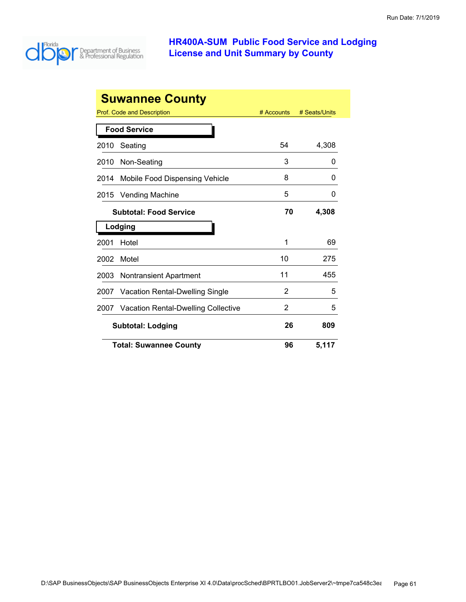

| <b>Suwannee County</b>                |                                        |            |               |
|---------------------------------------|----------------------------------------|------------|---------------|
|                                       | Prof. Code and Description             | # Accounts | # Seats/Units |
| <b>Food Service</b>                   |                                        |            |               |
| 2010                                  | Seating                                | 54         | 4,308         |
| 2010                                  | Non-Seating                            | 3          | 0             |
| 2014                                  | Mobile Food Dispensing Vehicle         | 8          | 0             |
| 2015                                  | <b>Vending Machine</b>                 | 5          | 0             |
|                                       | <b>Subtotal: Food Service</b>          | 70         | 4,308         |
| Lodging                               |                                        |            |               |
| 2001                                  | Hotel                                  | 1          | 69            |
| 2002                                  | Motel                                  | 10         | 275           |
| 2003                                  | <b>Nontransient Apartment</b>          | 11         | 455           |
| 2007                                  | <b>Vacation Rental-Dwelling Single</b> | 2          | 5             |
| 2007                                  | Vacation Rental-Dwelling Collective    | 2          | 5             |
| 26<br>809<br><b>Subtotal: Lodging</b> |                                        |            |               |
|                                       | <b>Total: Suwannee County</b>          | 96         | 5,117         |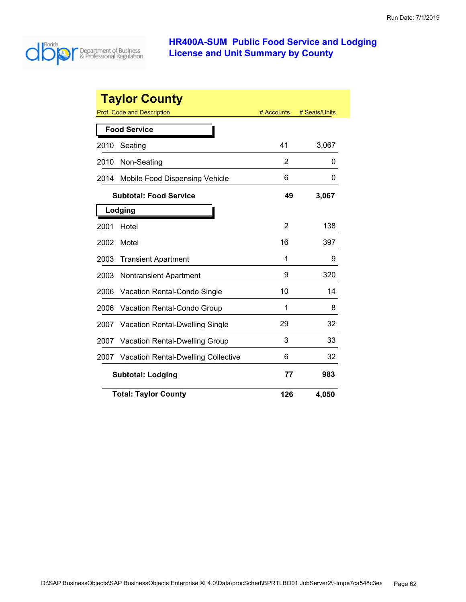

|      | <b>Taylor County</b>                       |            |               |
|------|--------------------------------------------|------------|---------------|
|      | Prof. Code and Description                 | # Accounts | # Seats/Units |
|      | <b>Food Service</b>                        |            |               |
| 2010 | Seating                                    | 41         | 3,067         |
| 2010 | Non-Seating                                | 2          | 0             |
| 2014 | Mobile Food Dispensing Vehicle             | 6          | O             |
|      | <b>Subtotal: Food Service</b>              | 49         | 3,067         |
|      | Lodging                                    |            |               |
| 2001 | Hotel                                      | 2          | 138           |
| 2002 | Motel                                      | 16         | 397           |
| 2003 | <b>Transient Apartment</b>                 | 1          | 9             |
| 2003 | <b>Nontransient Apartment</b>              | 9          | 320           |
| 2006 | <b>Vacation Rental-Condo Single</b>        | 10         | 14            |
| 2006 | <b>Vacation Rental-Condo Group</b>         | 1          | 8             |
| 2007 | <b>Vacation Rental-Dwelling Single</b>     | 29         | 32            |
| 2007 | <b>Vacation Rental-Dwelling Group</b>      | 3          | 33            |
| 2007 | <b>Vacation Rental-Dwelling Collective</b> | 6          | 32            |
|      | <b>Subtotal: Lodging</b>                   | 77         | 983           |
|      | <b>Total: Taylor County</b>                | 126        | 4,050         |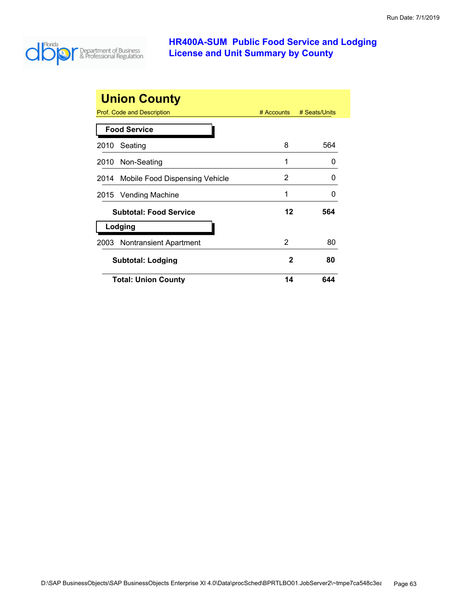

| <b>Union County</b>                 |               |               |  |
|-------------------------------------|---------------|---------------|--|
| Prof. Code and Description          | $\#$ Accounts | # Seats/Units |  |
| <b>Food Service</b>                 |               |               |  |
| Seating<br>2010                     | 8             | 564           |  |
| 2010 Non-Seating                    | 1             | $\mathbf{0}$  |  |
| 2014 Mobile Food Dispensing Vehicle | 2             | $\mathbf{0}$  |  |
| 2015 Vending Machine                | 1             | O             |  |
| <b>Subtotal: Food Service</b>       | 12            | 564           |  |
| Lodging                             |               |               |  |
| 2003 Nontransient Apartment         | 2             | 80            |  |
| <b>Subtotal: Lodging</b>            | 2             | 80            |  |
| <b>Total: Union County</b>          | 14            | 644           |  |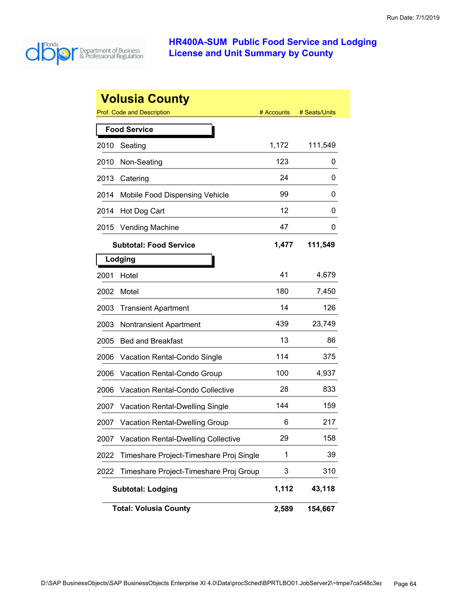

|      | <b>Volusia County</b>                      |            |               |
|------|--------------------------------------------|------------|---------------|
|      | <b>Prof. Code and Description</b>          | # Accounts | # Seats/Units |
|      | <b>Food Service</b>                        |            |               |
| 2010 | Seating                                    | 1,172      | 111,549       |
| 2010 | Non-Seating                                | 123        | 0             |
| 2013 | Catering                                   | 24         | 0             |
| 2014 | Mobile Food Dispensing Vehicle             | 99         | 0             |
| 2014 | Hot Dog Cart                               | 12         | 0             |
| 2015 | <b>Vending Machine</b>                     | 47         | 0             |
|      | <b>Subtotal: Food Service</b>              | 1,477      | 111,549       |
|      | Lodging                                    |            |               |
| 2001 | Hotel                                      | 41         | 4,679         |
| 2002 | Motel                                      | 180        | 7,450         |
| 2003 | <b>Transient Apartment</b>                 | 14         | 126           |
| 2003 | <b>Nontransient Apartment</b>              | 439        | 23,749        |
| 2005 | <b>Bed and Breakfast</b>                   | 13         | 86            |
| 2006 | Vacation Rental-Condo Single               | 114        | 375           |
| 2006 | Vacation Rental-Condo Group                | 100        | 4,937         |
| 2006 | <b>Vacation Rental-Condo Collective</b>    | 28         | 833           |
| 2007 | <b>Vacation Rental-Dwelling Single</b>     | 144        | 159           |
| 2007 | <b>Vacation Rental-Dwelling Group</b>      | 6          | 217           |
| 2007 | <b>Vacation Rental-Dwelling Collective</b> | 29         | 158           |
| 2022 | Timeshare Project-Timeshare Proj Single    | 1          | 39            |
| 2022 | Timeshare Project-Timeshare Proj Group     | 3          | 310           |
|      | <b>Subtotal: Lodging</b>                   | 1,112      | 43,118        |
|      | <b>Total: Volusia County</b>               | 2,589      | 154,667       |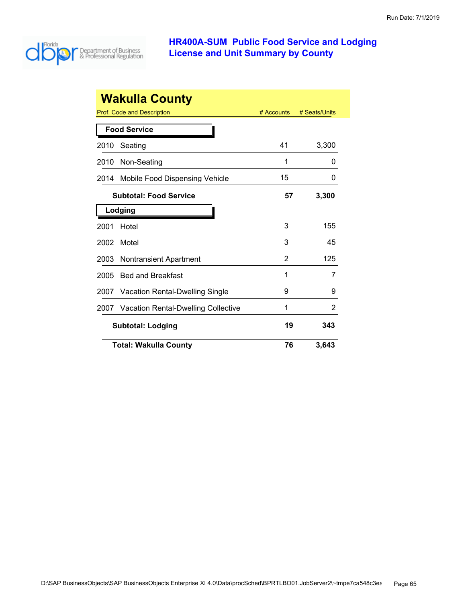

|      | <b>Wakulla County</b>                  |            |               |
|------|----------------------------------------|------------|---------------|
|      | <b>Prof. Code and Description</b>      | # Accounts | # Seats/Units |
|      | <b>Food Service</b>                    |            |               |
| 2010 | Seating                                | 41         | 3,300         |
| 2010 | Non-Seating                            | 1          | O             |
| 2014 | Mobile Food Dispensing Vehicle         | 15         | O             |
|      | <b>Subtotal: Food Service</b>          | 57         | 3,300         |
|      | Lodging                                |            |               |
| 2001 | Hotel                                  | 3          | 155           |
| 2002 | Motel                                  | 3          | 45            |
| 2003 | <b>Nontransient Apartment</b>          | 2          | 125           |
| 2005 | <b>Bed and Breakfast</b>               | 1          | 7             |
| 2007 | <b>Vacation Rental-Dwelling Single</b> | 9          | 9             |
| 2007 | Vacation Rental-Dwelling Collective    | 1          | 2             |
|      | <b>Subtotal: Lodging</b>               |            | 343           |
|      | <b>Total: Wakulla County</b>           | 76         | 3,643         |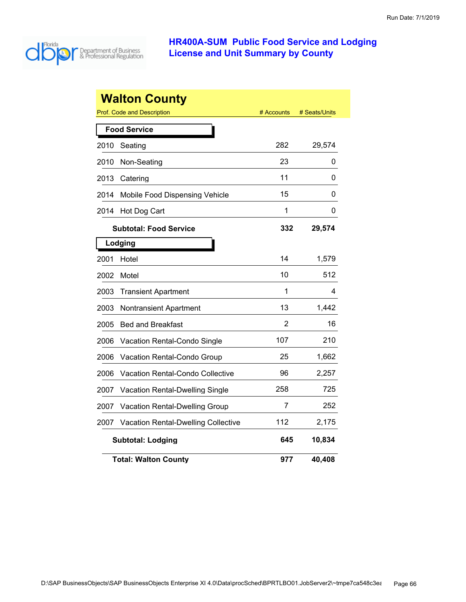

|      | <b>Walton County</b>                       |            |               |
|------|--------------------------------------------|------------|---------------|
|      | <b>Prof. Code and Description</b>          | # Accounts | # Seats/Units |
|      | <b>Food Service</b>                        |            |               |
| 2010 | Seating                                    | 282        | 29,574        |
| 2010 | Non-Seating                                | 23         | 0             |
| 2013 | Catering                                   | 11         | 0             |
| 2014 | Mobile Food Dispensing Vehicle             | 15         | 0             |
| 2014 | Hot Dog Cart                               | 1          | 0             |
|      | <b>Subtotal: Food Service</b>              | 332        | 29,574        |
|      | Lodging                                    |            |               |
| 2001 | Hotel                                      | 14         | 1,579         |
| 2002 | Motel                                      | 10         | 512           |
| 2003 | <b>Transient Apartment</b>                 | 1          | 4             |
| 2003 | <b>Nontransient Apartment</b>              | 13         | 1,442         |
| 2005 | <b>Bed and Breakfast</b>                   | 2          | 16            |
| 2006 | Vacation Rental-Condo Single               | 107        | 210           |
| 2006 | Vacation Rental-Condo Group                | 25         | 1,662         |
| 2006 | <b>Vacation Rental-Condo Collective</b>    | 96         | 2,257         |
| 2007 | Vacation Rental-Dwelling Single            | 258        | 725           |
| 2007 | Vacation Rental-Dwelling Group             | 7          | 252           |
| 2007 | <b>Vacation Rental-Dwelling Collective</b> | 112        | 2,175         |
|      | <b>Subtotal: Lodging</b>                   | 645        | 10,834        |
|      | <b>Total: Walton County</b>                | 977        | 40,408        |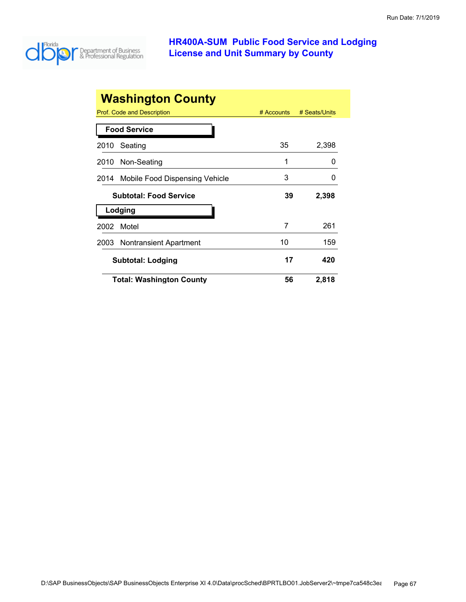

| <b>Washington County</b>            |              |               |
|-------------------------------------|--------------|---------------|
| Prof. Code and Description          | $#$ Accounts | # Seats/Units |
| <b>Food Service</b>                 |              |               |
| Seating<br>2010                     | 35           | 2,398         |
| Non-Seating<br>2010                 | 1            | O             |
| 2014 Mobile Food Dispensing Vehicle | 3            |               |
| <b>Subtotal: Food Service</b>       | 39           | 2,398         |
| Lodging                             |              |               |
| Motel<br>2002                       | 7            | 261           |
| 2003 Nontransient Apartment         | 10           | 159           |
| <b>Subtotal: Lodging</b>            | 17           | 420           |
| <b>Total: Washington County</b>     | 56           | 2,818         |